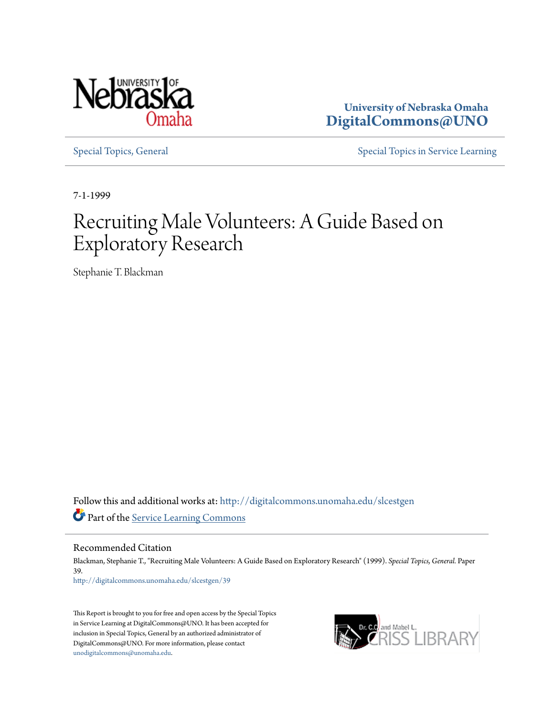

**University of Nebraska Omaha [DigitalCommons@UNO](http://digitalcommons.unomaha.edu?utm_source=digitalcommons.unomaha.edu%2Fslcestgen%2F39&utm_medium=PDF&utm_campaign=PDFCoverPages)**

[Special Topics, General](http://digitalcommons.unomaha.edu/slcestgen?utm_source=digitalcommons.unomaha.edu%2Fslcestgen%2F39&utm_medium=PDF&utm_campaign=PDFCoverPages) [Special Topics in Service Learning](http://digitalcommons.unomaha.edu/slcespecialtopics?utm_source=digitalcommons.unomaha.edu%2Fslcestgen%2F39&utm_medium=PDF&utm_campaign=PDFCoverPages)

7-1-1999

# Recruiting Male Volunteers: A Guide Based on Exploratory Research

Stephanie T. Blackman

Follow this and additional works at: [http://digitalcommons.unomaha.edu/slcestgen](http://digitalcommons.unomaha.edu/slcestgen?utm_source=digitalcommons.unomaha.edu%2Fslcestgen%2F39&utm_medium=PDF&utm_campaign=PDFCoverPages) Part of the [Service Learning Commons](http://network.bepress.com/hgg/discipline/1024?utm_source=digitalcommons.unomaha.edu%2Fslcestgen%2F39&utm_medium=PDF&utm_campaign=PDFCoverPages)

Recommended Citation

Blackman, Stephanie T., "Recruiting Male Volunteers: A Guide Based on Exploratory Research" (1999). *Special Topics, General.* Paper 39. [http://digitalcommons.unomaha.edu/slcestgen/39](http://digitalcommons.unomaha.edu/slcestgen/39?utm_source=digitalcommons.unomaha.edu%2Fslcestgen%2F39&utm_medium=PDF&utm_campaign=PDFCoverPages)

This Report is brought to you for free and open access by the Special Topics in Service Learning at DigitalCommons@UNO. It has been accepted for inclusion in Special Topics, General by an authorized administrator of DigitalCommons@UNO. For more information, please contact [unodigitalcommons@unomaha.edu](mailto:unodigitalcommons@unomaha.edu).

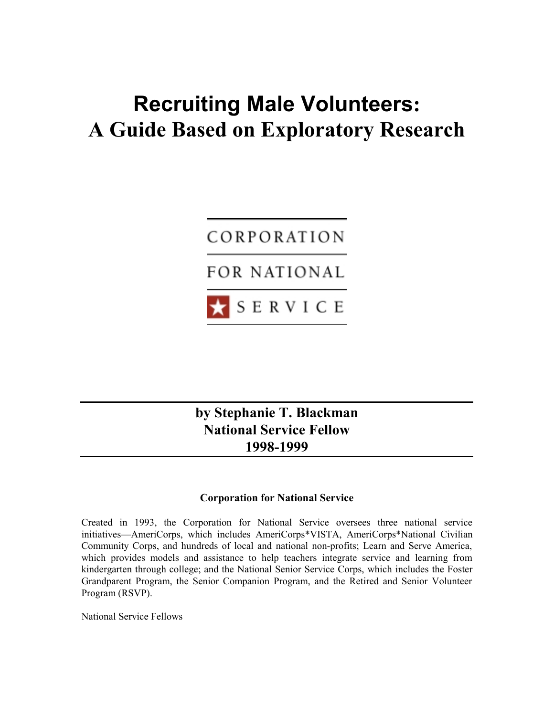# **Recruiting Male Volunteers: A Guide Based on Exploratory Research**



**by Stephanie T. Blackman National Service Fellow 1998-1999**

#### **Corporation for National Service**

Created in 1993, the Corporation for National Service oversees three national service initiatives—AmeriCorps, which includes AmeriCorps\*VISTA, AmeriCorps\*National Civilian Community Corps, and hundreds of local and national non-profits; Learn and Serve America, which provides models and assistance to help teachers integrate service and learning from kindergarten through college; and the National Senior Service Corps, which includes the Foster Grandparent Program, the Senior Companion Program, and the Retired and Senior Volunteer Program (RSVP).

National Service Fellows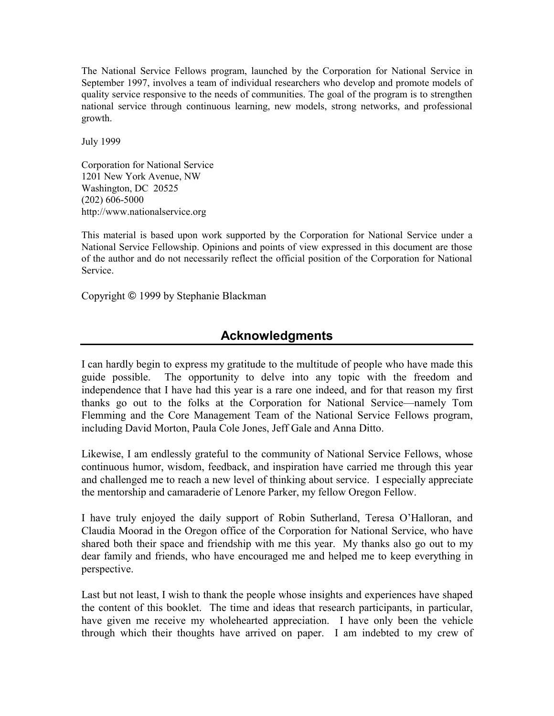The National Service Fellows program, launched by the Corporation for National Service in September 1997, involves a team of individual researchers who develop and promote models of quality service responsive to the needs of communities. The goal of the program is to strengthen national service through continuous learning, new models, strong networks, and professional growth.

July 1999

Corporation for National Service 1201 New York Avenue, NW Washington, DC 20525 (202) 606-5000 http://www.nationalservice.org

This material is based upon work supported by the Corporation for National Service under a National Service Fellowship. Opinions and points of view expressed in this document are those of the author and do not necessarily reflect the official position of the Corporation for National Service.

Copyright © 1999 by Stephanie Blackman

# **Acknowledgments**

I can hardly begin to express my gratitude to the multitude of people who have made this guide possible. The opportunity to delve into any topic with the freedom and independence that I have had this year is a rare one indeed, and for that reason my first thanks go out to the folks at the Corporation for National Service—namely Tom Flemming and the Core Management Team of the National Service Fellows program, including David Morton, Paula Cole Jones, Jeff Gale and Anna Ditto.

Likewise, I am endlessly grateful to the community of National Service Fellows, whose continuous humor, wisdom, feedback, and inspiration have carried me through this year and challenged me to reach a new level of thinking about service. I especially appreciate the mentorship and camaraderie of Lenore Parker, my fellow Oregon Fellow.

I have truly enjoyed the daily support of Robin Sutherland, Teresa O'Halloran, and Claudia Moorad in the Oregon office of the Corporation for National Service, who have shared both their space and friendship with me this year. My thanks also go out to my dear family and friends, who have encouraged me and helped me to keep everything in perspective.

Last but not least, I wish to thank the people whose insights and experiences have shaped the content of this booklet. The time and ideas that research participants, in particular, have given me receive my wholehearted appreciation. I have only been the vehicle through which their thoughts have arrived on paper. I am indebted to my crew of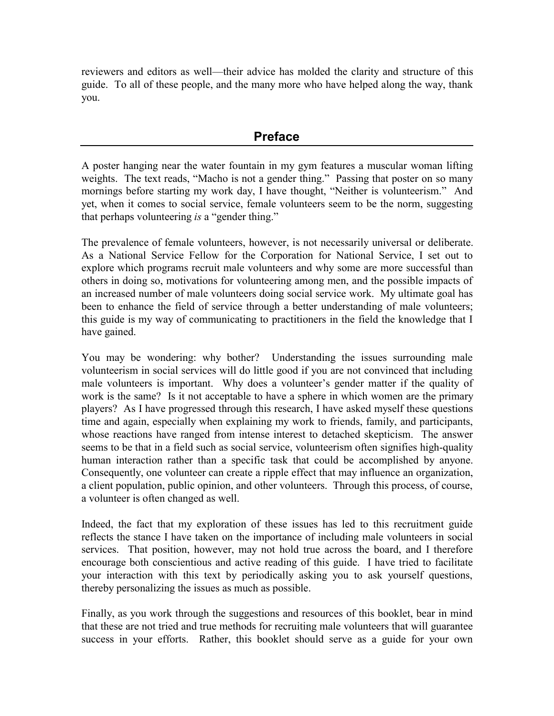reviewers and editors as well—their advice has molded the clarity and structure of this guide. To all of these people, and the many more who have helped along the way, thank you.

# **Preface**

A poster hanging near the water fountain in my gym features a muscular woman lifting weights. The text reads, "Macho is not a gender thing." Passing that poster on so many mornings before starting my work day, I have thought, "Neither is volunteerism." And yet, when it comes to social service, female volunteers seem to be the norm, suggesting that perhaps volunteering *is* a "gender thing."

The prevalence of female volunteers, however, is not necessarily universal or deliberate. As a National Service Fellow for the Corporation for National Service, I set out to explore which programs recruit male volunteers and why some are more successful than others in doing so, motivations for volunteering among men, and the possible impacts of an increased number of male volunteers doing social service work. My ultimate goal has been to enhance the field of service through a better understanding of male volunteers; this guide is my way of communicating to practitioners in the field the knowledge that I have gained.

You may be wondering: why bother? Understanding the issues surrounding male volunteerism in social services will do little good if you are not convinced that including male volunteers is important. Why does a volunteer's gender matter if the quality of work is the same? Is it not acceptable to have a sphere in which women are the primary players? As I have progressed through this research, I have asked myself these questions time and again, especially when explaining my work to friends, family, and participants, whose reactions have ranged from intense interest to detached skepticism. The answer seems to be that in a field such as social service, volunteerism often signifies high-quality human interaction rather than a specific task that could be accomplished by anyone. Consequently, one volunteer can create a ripple effect that may influence an organization, a client population, public opinion, and other volunteers. Through this process, of course, a volunteer is often changed as well.

Indeed, the fact that my exploration of these issues has led to this recruitment guide reflects the stance I have taken on the importance of including male volunteers in social services. That position, however, may not hold true across the board, and I therefore encourage both conscientious and active reading of this guide. I have tried to facilitate your interaction with this text by periodically asking you to ask yourself questions, thereby personalizing the issues as much as possible.

Finally, as you work through the suggestions and resources of this booklet, bear in mind that these are not tried and true methods for recruiting male volunteers that will guarantee success in your efforts. Rather, this booklet should serve as a guide for your own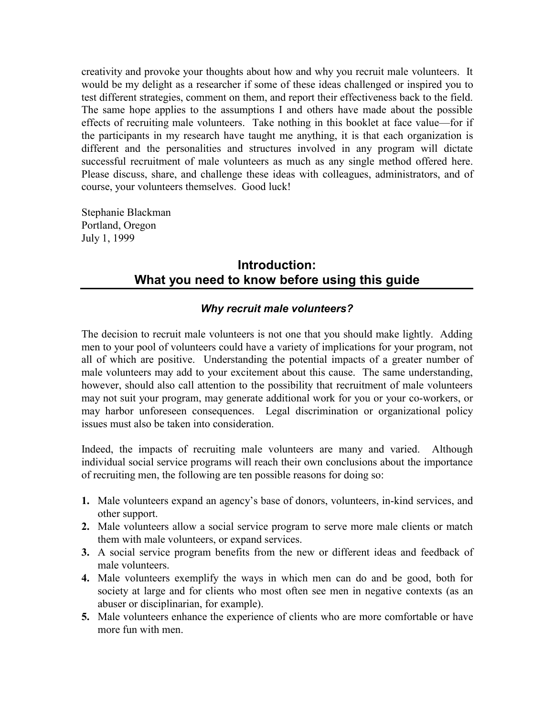creativity and provoke your thoughts about how and why you recruit male volunteers. It would be my delight as a researcher if some of these ideas challenged or inspired you to test different strategies, comment on them, and report their effectiveness back to the field. The same hope applies to the assumptions I and others have made about the possible effects of recruiting male volunteers. Take nothing in this booklet at face value—for if the participants in my research have taught me anything, it is that each organization is different and the personalities and structures involved in any program will dictate successful recruitment of male volunteers as much as any single method offered here. Please discuss, share, and challenge these ideas with colleagues, administrators, and of course, your volunteers themselves. Good luck!

Stephanie Blackman Portland, Oregon July 1, 1999

# **Introduction: What you need to know before using this guide**

#### *Why recruit male volunteers?*

The decision to recruit male volunteers is not one that you should make lightly. Adding men to your pool of volunteers could have a variety of implications for your program, not all of which are positive. Understanding the potential impacts of a greater number of male volunteers may add to your excitement about this cause. The same understanding, however, should also call attention to the possibility that recruitment of male volunteers may not suit your program, may generate additional work for you or your co-workers, or may harbor unforeseen consequences. Legal discrimination or organizational policy issues must also be taken into consideration.

Indeed, the impacts of recruiting male volunteers are many and varied. Although individual social service programs will reach their own conclusions about the importance of recruiting men, the following are ten possible reasons for doing so:

- **1.** Male volunteers expand an agency's base of donors, volunteers, in-kind services, and other support.
- **2.** Male volunteers allow a social service program to serve more male clients or match them with male volunteers, or expand services.
- **3.** A social service program benefits from the new or different ideas and feedback of male volunteers.
- **4.** Male volunteers exemplify the ways in which men can do and be good, both for society at large and for clients who most often see men in negative contexts (as an abuser or disciplinarian, for example).
- **5.** Male volunteers enhance the experience of clients who are more comfortable or have more fun with men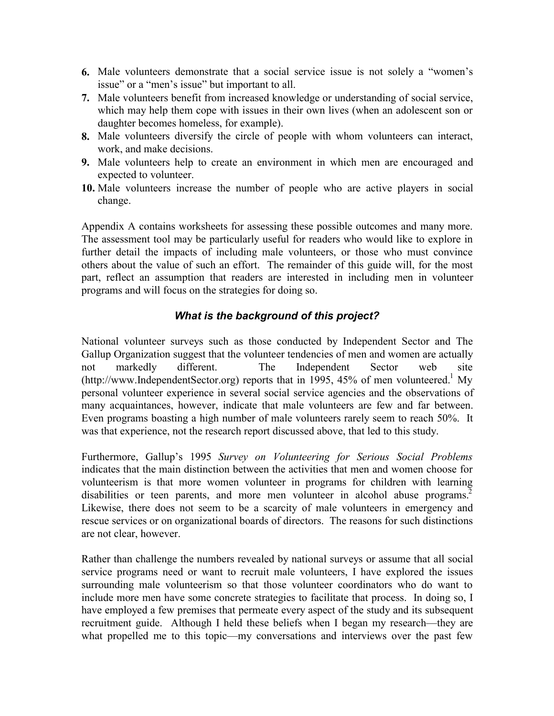- **6.** Male volunteers demonstrate that a social service issue is not solely a "women's issue" or a "men's issue" but important to all.
- **7.** Male volunteers benefit from increased knowledge or understanding of social service, which may help them cope with issues in their own lives (when an adolescent son or daughter becomes homeless, for example).
- **8.** Male volunteers diversify the circle of people with whom volunteers can interact, work, and make decisions.
- **9.** Male volunteers help to create an environment in which men are encouraged and expected to volunteer.
- **10.** Male volunteers increase the number of people who are active players in social change.

Appendix A contains worksheets for assessing these possible outcomes and many more. The assessment tool may be particularly useful for readers who would like to explore in further detail the impacts of including male volunteers, or those who must convince others about the value of such an effort. The remainder of this guide will, for the most part, reflect an assumption that readers are interested in including men in volunteer programs and will focus on the strategies for doing so.

## *What is the background of this project?*

National volunteer surveys such as those conducted by Independent Sector and The Gallup Organization suggest that the volunteer tendencies of men and women are actually not markedly different. The Independent Sector web site (http://www.IndependentSector.org) reports that in 1995, 45% of men volunteered.<sup>1</sup> My personal volunteer experience in several social service agencies and the observations of many acquaintances, however, indicate that male volunteers are few and far between. Even programs boasting a high number of male volunteers rarely seem to reach 50%. It was that experience, not the research report discussed above, that led to this study.

Furthermore, Gallup's 1995 *Survey on Volunteering for Serious Social Problems* indicates that the main distinction between the activities that men and women choose for volunteerism is that more women volunteer in programs for children with learning disabilities or teen parents, and more men volunteer in alcohol abuse programs.<sup>2</sup> Likewise, there does not seem to be a scarcity of male volunteers in emergency and rescue services or on organizational boards of directors. The reasons for such distinctions are not clear, however.

Rather than challenge the numbers revealed by national surveys or assume that all social service programs need or want to recruit male volunteers, I have explored the issues surrounding male volunteerism so that those volunteer coordinators who do want to include more men have some concrete strategies to facilitate that process. In doing so, I have employed a few premises that permeate every aspect of the study and its subsequent recruitment guide. Although I held these beliefs when I began my research—they are what propelled me to this topic—my conversations and interviews over the past few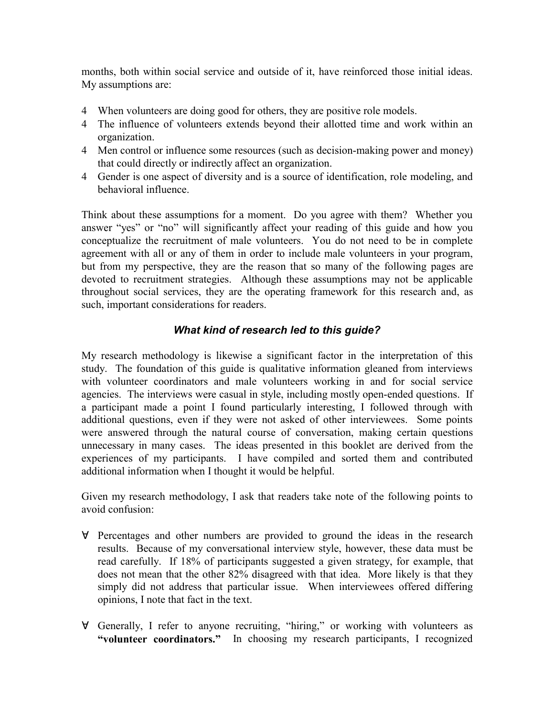months, both within social service and outside of it, have reinforced those initial ideas. My assumptions are:

- 4 When volunteers are doing good for others, they are positive role models.
- 4 The influence of volunteers extends beyond their allotted time and work within an organization.
- 4 Men control or influence some resources (such as decision-making power and money) that could directly or indirectly affect an organization.
- 4 Gender is one aspect of diversity and is a source of identification, role modeling, and behavioral influence.

Think about these assumptions for a moment. Do you agree with them? Whether you answer "yes" or "no" will significantly affect your reading of this guide and how you conceptualize the recruitment of male volunteers. You do not need to be in complete agreement with all or any of them in order to include male volunteers in your program, but from my perspective, they are the reason that so many of the following pages are devoted to recruitment strategies. Although these assumptions may not be applicable throughout social services, they are the operating framework for this research and, as such, important considerations for readers.

## *What kind of research led to this guide?*

My research methodology is likewise a significant factor in the interpretation of this study. The foundation of this guide is qualitative information gleaned from interviews with volunteer coordinators and male volunteers working in and for social service agencies. The interviews were casual in style, including mostly open-ended questions. If a participant made a point I found particularly interesting, I followed through with additional questions, even if they were not asked of other interviewees. Some points were answered through the natural course of conversation, making certain questions unnecessary in many cases. The ideas presented in this booklet are derived from the experiences of my participants. I have compiled and sorted them and contributed additional information when I thought it would be helpful.

Given my research methodology, I ask that readers take note of the following points to avoid confusion:

- $\forall$  Percentages and other numbers are provided to ground the ideas in the research results. Because of my conversational interview style, however, these data must be read carefully. If 18% of participants suggested a given strategy, for example, that does not mean that the other 82% disagreed with that idea. More likely is that they simply did not address that particular issue. When interviewees offered differing opinions, I note that fact in the text.
- $\forall$  Generally, I refer to anyone recruiting, "hiring," or working with volunteers as **"volunteer coordinators."** In choosing my research participants, I recognized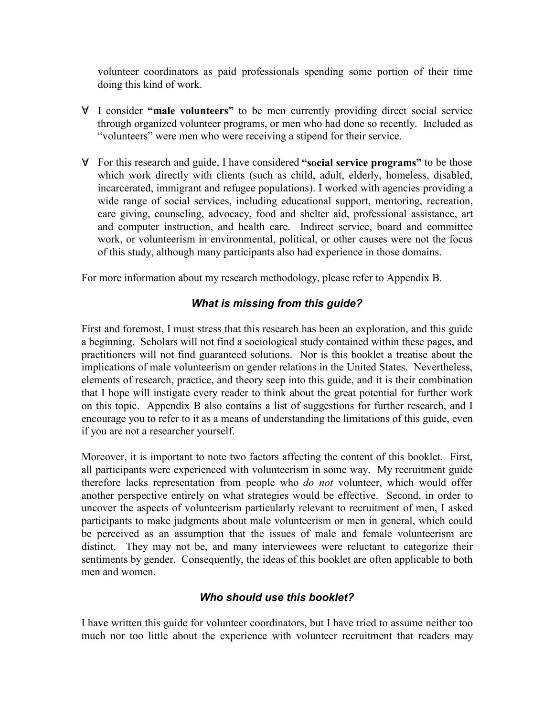volunteer coordinators as paid professionals spending some portion of their time doing this kind of work.

- " I consider **"male volunteers"** to be men currently providing direct social service through organized volunteer programs, or men who had done so recently. Included as "volunteers" were men who were receiving a stipend for their service.
- " For this research and guide, I have considered **"social service programs"** to be those which work directly with clients (such as child, adult, elderly, homeless, disabled, incarcerated, immigrant and refugee populations). I worked with agencies providing a wide range of social services, including educational support, mentoring, recreation, care giving, counseling, advocacy, food and shelter aid, professional assistance, art and computer instruction, and health care. Indirect service, board and committee work, or volunteerism in environmental, political, or other causes were not the focus of this study, although many participants also had experience in those domains.

For more information about my research methodology, please refer to Appendix B.

## *What is missing from this guide?*

First and foremost, I must stress that this research has been an exploration, and this guide a beginning. Scholars will not find a sociological study contained within these pages, and practitioners will not find guaranteed solutions. Nor is this booklet a treatise about the implications of male volunteerism on gender relations in the United States. Nevertheless, elements of research, practice, and theory seep into this guide, and it is their combination that I hope will instigate every reader to think about the great potential for further work on this topic. Appendix B also contains a list of suggestions for further research, and I encourage you to refer to it as a means of understanding the limitations of this guide, even if you are not a researcher yourself.

Moreover, it is important to note two factors affecting the content of this booklet. First, all participants were experienced with volunteerism in some way. My recruitment guide therefore lacks representation from people who *do not* volunteer, which would offer another perspective entirely on what strategies would be effective. Second, in order to uncover the aspects of volunteerism particularly relevant to recruitment of men, I asked participants to make judgments about male volunteerism or men in general, which could be perceived as an assumption that the issues of male and female volunteerism are distinct. They may not be, and many interviewees were reluctant to categorize their sentiments by gender. Consequently, the ideas of this booklet are often applicable to both men and women.

## *Who should use this booklet?*

I have written this guide for volunteer coordinators, but I have tried to assume neither too much nor too little about the experience with volunteer recruitment that readers may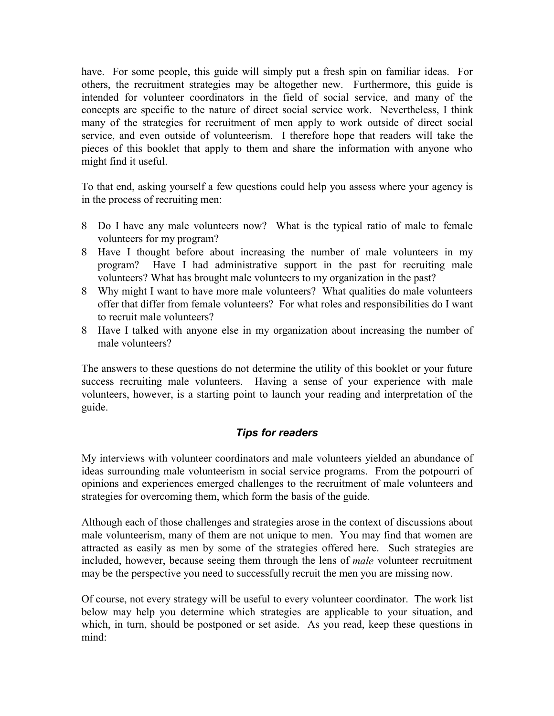have. For some people, this guide will simply put a fresh spin on familiar ideas. For others, the recruitment strategies may be altogether new. Furthermore, this guide is intended for volunteer coordinators in the field of social service, and many of the concepts are specific to the nature of direct social service work. Nevertheless, I think many of the strategies for recruitment of men apply to work outside of direct social service, and even outside of volunteerism. I therefore hope that readers will take the pieces of this booklet that apply to them and share the information with anyone who might find it useful.

To that end, asking yourself a few questions could help you assess where your agency is in the process of recruiting men:

- 8 Do I have any male volunteers now? What is the typical ratio of male to female volunteers for my program?
- 8 Have I thought before about increasing the number of male volunteers in my program? Have I had administrative support in the past for recruiting male volunteers? What has brought male volunteers to my organization in the past?
- 8 Why might I want to have more male volunteers? What qualities do male volunteers offer that differ from female volunteers? For what roles and responsibilities do I want to recruit male volunteers?
- 8 Have I talked with anyone else in my organization about increasing the number of male volunteers?

The answers to these questions do not determine the utility of this booklet or your future success recruiting male volunteers. Having a sense of your experience with male volunteers, however, is a starting point to launch your reading and interpretation of the guide.

## *Tips for readers*

My interviews with volunteer coordinators and male volunteers yielded an abundance of ideas surrounding male volunteerism in social service programs. From the potpourri of opinions and experiences emerged challenges to the recruitment of male volunteers and strategies for overcoming them, which form the basis of the guide.

Although each of those challenges and strategies arose in the context of discussions about male volunteerism, many of them are not unique to men. You may find that women are attracted as easily as men by some of the strategies offered here. Such strategies are included, however, because seeing them through the lens of *male* volunteer recruitment may be the perspective you need to successfully recruit the men you are missing now.

Of course, not every strategy will be useful to every volunteer coordinator. The work list below may help you determine which strategies are applicable to your situation, and which, in turn, should be postponed or set aside. As you read, keep these questions in mind: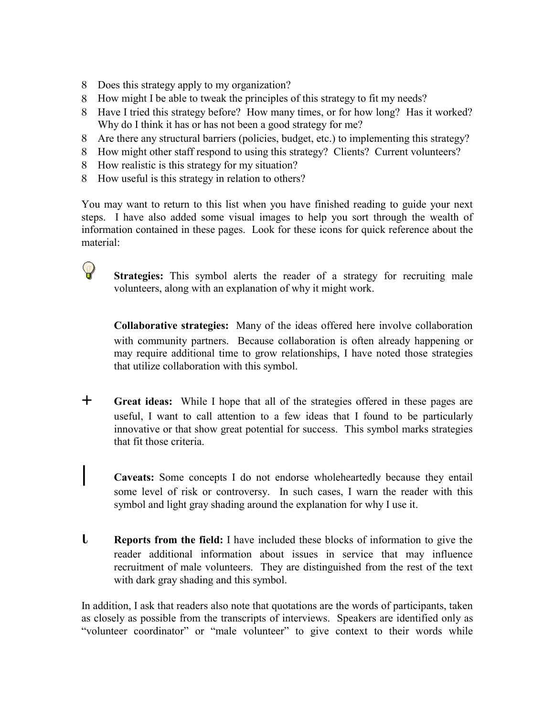- 8 Does this strategy apply to my organization?
- 8 How might I be able to tweak the principles of this strategy to fit my needs?
- 8 Have I tried this strategy before? How many times, or for how long? Has it worked? Why do I think it has or has not been a good strategy for me?
- 8 Are there any structural barriers (policies, budget, etc.) to implementing this strategy?
- 8 How might other staff respond to using this strategy? Clients? Current volunteers?
- 8 How realistic is this strategy for my situation?
- 8 How useful is this strategy in relation to others?

You may want to return to this list when you have finished reading to guide your next steps. I have also added some visual images to help you sort through the wealth of information contained in these pages. Look for these icons for quick reference about the material:

 $\mathsf{Q}$ 

**Strategies:** This symbol alerts the reader of a strategy for recruiting male volunteers, along with an explanation of why it might work.

**Collaborative strategies:** Many of the ideas offered here involve collaboration with community partners. Because collaboration is often already happening or may require additional time to grow relationships, I have noted those strategies that utilize collaboration with this symbol.

- + **Great ideas:** While I hope that all of the strategies offered in these pages are useful, I want to call attention to a few ideas that I found to be particularly innovative or that show great potential for success. This symbol marks strategies that fit those criteria.
- Caveats: Some concepts I do not endorse wholeheartedly because they entail some level of risk or controversy. In such cases, I warn the reader with this symbol and light gray shading around the explanation for why I use it.
- **L Reports from the field:** I have included these blocks of information to give the reader additional information about issues in service that may influence recruitment of male volunteers. They are distinguished from the rest of the text with dark gray shading and this symbol.

In addition, I ask that readers also note that quotations are the words of participants, taken as closely as possible from the transcripts of interviews. Speakers are identified only as "volunteer coordinator" or "male volunteer" to give context to their words while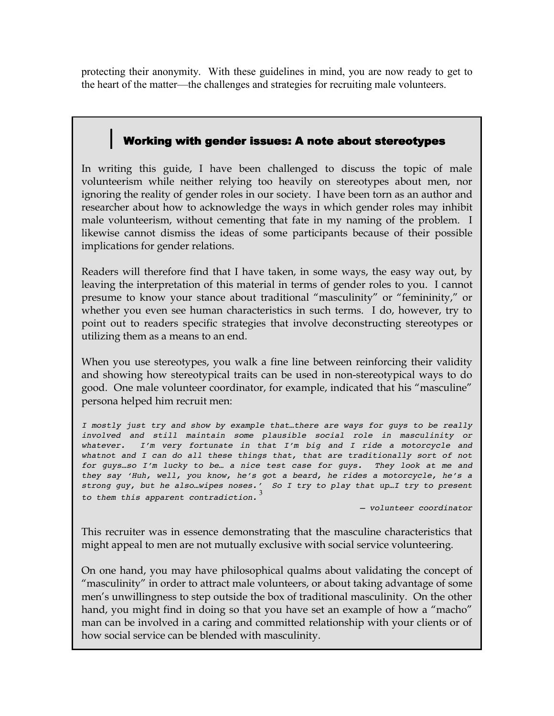protecting their anonymity. With these guidelines in mind, you are now ready to get to the heart of the matter—the challenges and strategies for recruiting male volunteers.

# Working with gender issues: A note about stereotypes

In writing this guide, I have been challenged to discuss the topic of male volunteerism while neither relying too heavily on stereotypes about men, nor ignoring the reality of gender roles in our society. I have been torn as an author and researcher about how to acknowledge the ways in which gender roles may inhibit male volunteerism, without cementing that fate in my naming of the problem. I likewise cannot dismiss the ideas of some participants because of their possible implications for gender relations.

Readers will therefore find that I have taken, in some ways, the easy way out, by leaving the interpretation of this material in terms of gender roles to you. I cannot presume to know your stance about traditional "masculinity" or "femininity," or whether you even see human characteristics in such terms. I do, however, try to point out to readers specific strategies that involve deconstructing stereotypes or utilizing them as a means to an end.

When you use stereotypes, you walk a fine line between reinforcing their validity and showing how stereotypical traits can be used in non-stereotypical ways to do good. One male volunteer coordinator, for example, indicated that his "masculine" persona helped him recruit men:

*I mostly just try and show by example that…there are ways for guys to be really involved and still maintain some plausible social role in masculinity or whatever. I'm very fortunate in that I'm big and I ride a motorcycle and whatnot and I can do all these things that, that are traditionally sort of not for guys…so I'm lucky to be… a nice test case for guys. They look at me and they say 'Huh, well, you know, he's got a beard, he rides a motorcycle, he's a strong guy, but he also…wipes noses.' So I try to play that up…I try to present to them this apparent contradiction.*<sup>3</sup>

*– volunteer coordinator*

This recruiter was in essence demonstrating that the masculine characteristics that might appeal to men are not mutually exclusive with social service volunteering.

On one hand, you may have philosophical qualms about validating the concept of "masculinity" in order to attract male volunteers, or about taking advantage of some men's unwillingness to step outside the box of traditional masculinity. On the other hand, you might find in doing so that you have set an example of how a "macho" man can be involved in a caring and committed relationship with your clients or of how social service can be blended with masculinity.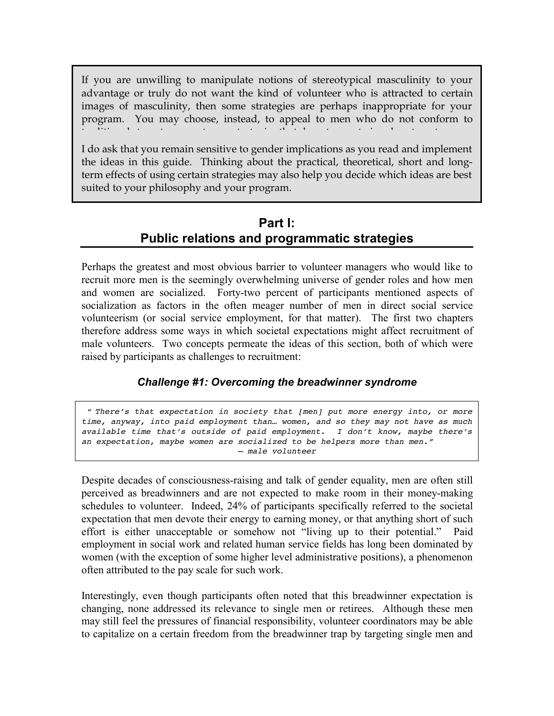If you are unwilling to manipulate notions of stereotypical masculinity to your advantage or truly do not want the kind of volunteer who is attracted to certain images of masculinity, then some strategies are perhaps inappropriate for your program. You may choose, instead, to appeal to men who do not conform to traditional stereotypes, or to use strategies that do not seem to involve stereotypes.

I do ask that you remain sensitive to gender implications as you read and implement the ideas in this guide. Thinking about the practical, theoretical, short and longterm effects of using certain strategies may also help you decide which ideas are best suited to your philosophy and your program.

# **Part I: Public relations and programmatic strategies**

Perhaps the greatest and most obvious barrier to volunteer managers who would like to recruit more men is the seemingly overwhelming universe of gender roles and how men and women are socialized. Forty-two percent of participants mentioned aspects of socialization as factors in the often meager number of men in direct social service volunteerism (or social service employment, for that matter). The first two chapters therefore address some ways in which societal expectations might affect recruitment of male volunteers. Two concepts permeate the ideas of this section, both of which were raised by participants as challenges to recruitment:

## *Challenge #1: Overcoming the breadwinner syndrome*

 *" There's that expectation in society that [men] put more energy into, or more time, anyway, into paid employment than… women, and so they may not have as much available time that's outside of paid employment. I don't know, maybe there's an expectation, maybe women are socialized to be helpers more than men." – male volunteer*

Despite decades of consciousness-raising and talk of gender equality, men are often still perceived as breadwinners and are not expected to make room in their money-making schedules to volunteer. Indeed, 24% of participants specifically referred to the societal expectation that men devote their energy to earning money, or that anything short of such effort is either unacceptable or somehow not "living up to their potential." Paid employment in social work and related human service fields has long been dominated by women (with the exception of some higher level administrative positions), a phenomenon often attributed to the pay scale for such work.

Interestingly, even though participants often noted that this breadwinner expectation is changing, none addressed its relevance to single men or retirees. Although these men may still feel the pressures of financial responsibility, volunteer coordinators may be able to capitalize on a certain freedom from the breadwinner trap by targeting single men and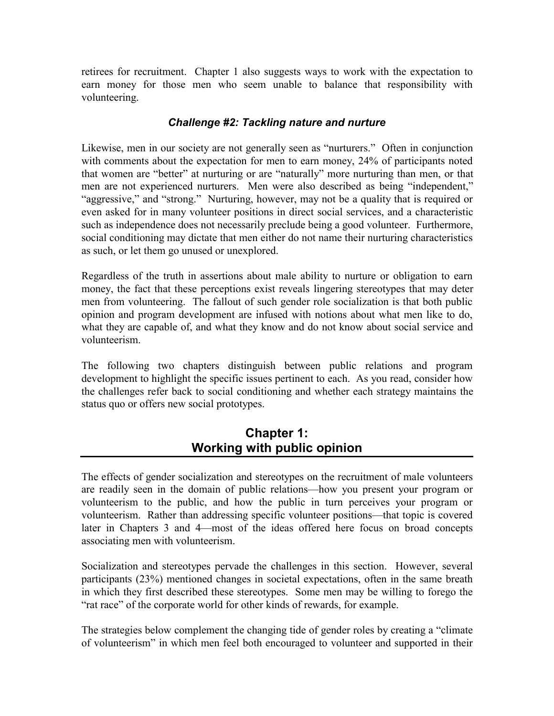retirees for recruitment. Chapter 1 also suggests ways to work with the expectation to earn money for those men who seem unable to balance that responsibility with volunteering.

#### *Challenge #2: Tackling nature and nurture*

Likewise, men in our society are not generally seen as "nurturers." Often in conjunction with comments about the expectation for men to earn money, 24% of participants noted that women are "better" at nurturing or are "naturally" more nurturing than men, or that men are not experienced nurturers. Men were also described as being "independent," "aggressive," and "strong." Nurturing, however, may not be a quality that is required or even asked for in many volunteer positions in direct social services, and a characteristic such as independence does not necessarily preclude being a good volunteer. Furthermore, social conditioning may dictate that men either do not name their nurturing characteristics as such, or let them go unused or unexplored.

Regardless of the truth in assertions about male ability to nurture or obligation to earn money, the fact that these perceptions exist reveals lingering stereotypes that may deter men from volunteering. The fallout of such gender role socialization is that both public opinion and program development are infused with notions about what men like to do, what they are capable of, and what they know and do not know about social service and volunteerism.

The following two chapters distinguish between public relations and program development to highlight the specific issues pertinent to each. As you read, consider how the challenges refer back to social conditioning and whether each strategy maintains the status quo or offers new social prototypes.

# **Chapter 1: Working with public opinion**

The effects of gender socialization and stereotypes on the recruitment of male volunteers are readily seen in the domain of public relations—how you present your program or volunteerism to the public, and how the public in turn perceives your program or volunteerism. Rather than addressing specific volunteer positions—that topic is covered later in Chapters 3 and 4—most of the ideas offered here focus on broad concepts associating men with volunteerism.

Socialization and stereotypes pervade the challenges in this section. However, several participants (23%) mentioned changes in societal expectations, often in the same breath in which they first described these stereotypes. Some men may be willing to forego the "rat race" of the corporate world for other kinds of rewards, for example.

The strategies below complement the changing tide of gender roles by creating a "climate of volunteerism" in which men feel both encouraged to volunteer and supported in their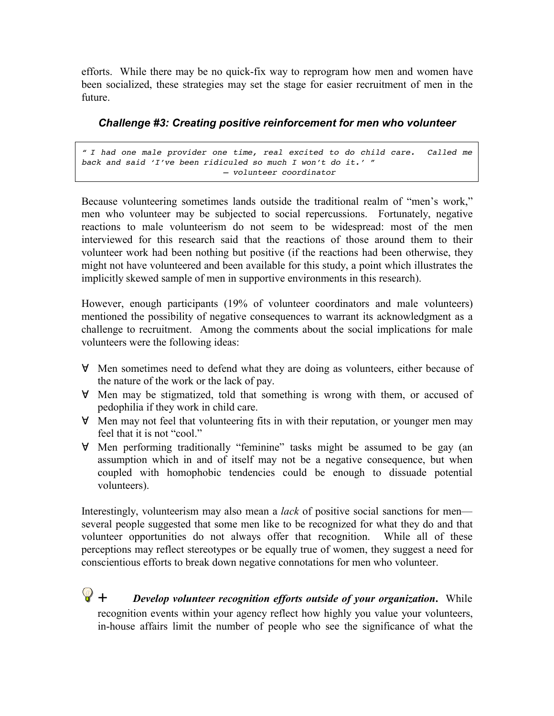efforts. While there may be no quick-fix way to reprogram how men and women have been socialized, these strategies may set the stage for easier recruitment of men in the future.

## *Challenge #3: Creating positive reinforcement for men who volunteer*

*" I had one male provider one time, real excited to do child care. Called me back and said 'I've been ridiculed so much I won't do it.' " – volunteer coordinator*

Because volunteering sometimes lands outside the traditional realm of "men's work," men who volunteer may be subjected to social repercussions. Fortunately, negative reactions to male volunteerism do not seem to be widespread: most of the men interviewed for this research said that the reactions of those around them to their volunteer work had been nothing but positive (if the reactions had been otherwise, they might not have volunteered and been available for this study, a point which illustrates the implicitly skewed sample of men in supportive environments in this research).

However, enough participants (19% of volunteer coordinators and male volunteers) mentioned the possibility of negative consequences to warrant its acknowledgment as a challenge to recruitment. Among the comments about the social implications for male volunteers were the following ideas:

- **Y** Men sometimes need to defend what they are doing as volunteers, either because of the nature of the work or the lack of pay.
- $\forall$  Men may be stigmatized, told that something is wrong with them, or accused of pedophilia if they work in child care.
- " Men may not feel that volunteering fits in with their reputation, or younger men may feel that it is not "cool."
- " Men performing traditionally "feminine" tasks might be assumed to be gay (an assumption which in and of itself may not be a negative consequence, but when coupled with homophobic tendencies could be enough to dissuade potential volunteers).

Interestingly, volunteerism may also mean a *lack* of positive social sanctions for men several people suggested that some men like to be recognized for what they do and that volunteer opportunities do not always offer that recognition. While all of these perceptions may reflect stereotypes or be equally true of women, they suggest a need for conscientious efforts to break down negative connotations for men who volunteer.

+ *Develop volunteer recognition efforts outside of your organization***.** While recognition events within your agency reflect how highly you value your volunteers, in-house affairs limit the number of people who see the significance of what the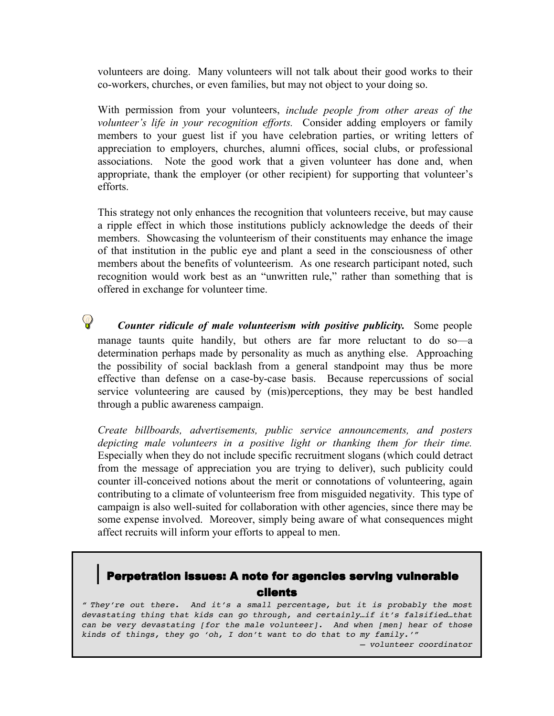volunteers are doing. Many volunteers will not talk about their good works to their co-workers, churches, or even families, but may not object to your doing so.

With permission from your volunteers, *include people from other areas of the volunteer's life in your recognition efforts.* Consider adding employers or family members to your guest list if you have celebration parties, or writing letters of appreciation to employers, churches, alumni offices, social clubs, or professional associations. Note the good work that a given volunteer has done and, when appropriate, thank the employer (or other recipient) for supporting that volunteer's efforts.

This strategy not only enhances the recognition that volunteers receive, but may cause a ripple effect in which those institutions publicly acknowledge the deeds of their members. Showcasing the volunteerism of their constituents may enhance the image of that institution in the public eye and plant a seed in the consciousness of other members about the benefits of volunteerism. As one research participant noted, such recognition would work best as an "unwritten rule," rather than something that is offered in exchange for volunteer time.

*Counter ridicule of male volunteerism with positive publicity.* Some people manage taunts quite handily, but others are far more reluctant to do so—a determination perhaps made by personality as much as anything else. Approaching the possibility of social backlash from a general standpoint may thus be more effective than defense on a case-by-case basis. Because repercussions of social service volunteering are caused by (mis)perceptions, they may be best handled through a public awareness campaign.

 $\mathbb{Q}$ 

*Create billboards, advertisements, public service announcements, and posters depicting male volunteers in a positive light or thanking them for their time.* Especially when they do not include specific recruitment slogans (which could detract from the message of appreciation you are trying to deliver), such publicity could counter ill-conceived notions about the merit or connotations of volunteering, again contributing to a climate of volunteerism free from misguided negativity. This type of campaign is also well-suited for collaboration with other agencies, since there may be some expense involved. Moreover, simply being aware of what consequences might affect recruits will inform your efforts to appeal to men.

# Perpetration issues: A note for agencies serving vulnerable clients

*" They're out there. And it's a small percentage, but it is probably the most devastating thing that kids can go through, and certainly…if it's falsified…that can be very devastating [for the male volunteer]. And when [men] hear of those kinds of things, they go 'oh, I don't want to do that to my family.'"*

*– volunteer coordinator*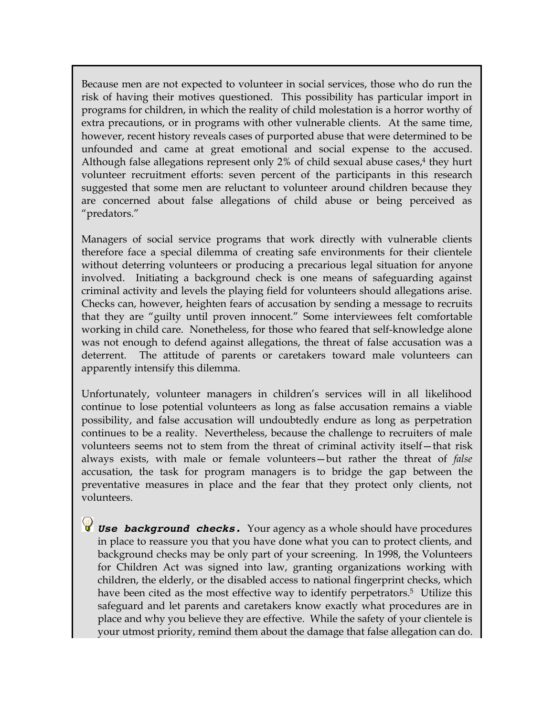Because men are not expected to volunteer in social services, those who do run the risk of having their motives questioned. This possibility has particular import in programs for children, in which the reality of child molestation is a horror worthy of extra precautions, or in programs with other vulnerable clients. At the same time, however, recent history reveals cases of purported abuse that were determined to be unfounded and came at great emotional and social expense to the accused. Although false allegations represent only  $2\%$  of child sexual abuse cases, $4$  they hurt volunteer recruitment efforts: seven percent of the participants in this research suggested that some men are reluctant to volunteer around children because they are concerned about false allegations of child abuse or being perceived as "predators."

Managers of social service programs that work directly with vulnerable clients therefore face a special dilemma of creating safe environments for their clientele without deterring volunteers or producing a precarious legal situation for anyone involved. Initiating a background check is one means of safeguarding against criminal activity and levels the playing field for volunteers should allegations arise. Checks can, however, heighten fears of accusation by sending a message to recruits that they are "guilty until proven innocent." Some interviewees felt comfortable working in child care. Nonetheless, for those who feared that self-knowledge alone was not enough to defend against allegations, the threat of false accusation was a deterrent. The attitude of parents or caretakers toward male volunteers can apparently intensify this dilemma.

Unfortunately, volunteer managers in children's services will in all likelihood continue to lose potential volunteers as long as false accusation remains a viable possibility, and false accusation will undoubtedly endure as long as perpetration continues to be a reality. Nevertheless, because the challenge to recruiters of male volunteers seems not to stem from the threat of criminal activity itself—that risk always exists, with male or female volunteers—but rather the threat of *false* accusation, the task for program managers is to bridge the gap between the preventative measures in place and the fear that they protect only clients, not volunteers.

*Use background checks.* Your agency as a whole should have procedures in place to reassure you that you have done what you can to protect clients, and background checks may be only part of your screening. In 1998, the Volunteers for Children Act was signed into law, granting organizations working with children, the elderly, or the disabled access to national fingerprint checks, which have been cited as the most effective way to identify perpetrators.<sup>5</sup> Utilize this safeguard and let parents and caretakers know exactly what procedures are in place and why you believe they are effective. While the safety of your clientele is your utmost priority, remind them about the damage that false allegation can do.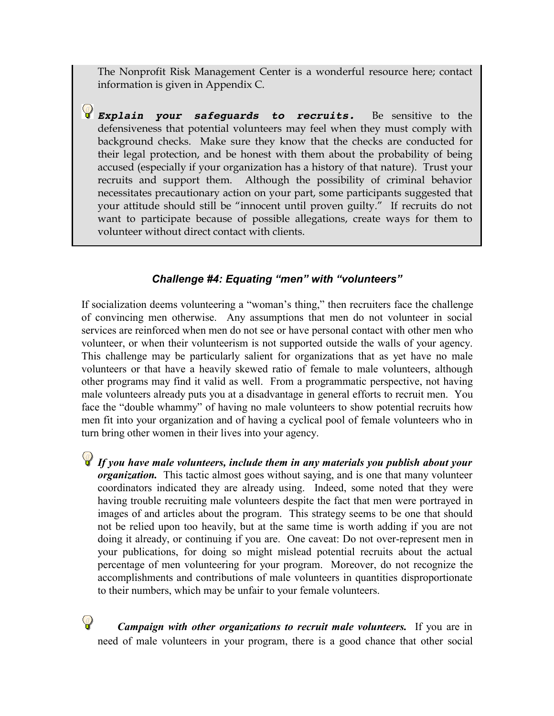The Nonprofit Risk Management Center is a wonderful resource here; contact information is given in Appendix C.

*Explain your safeguards to recruits.* Be sensitive to the defensiveness that potential volunteers may feel when they must comply with background checks. Make sure they know that the checks are conducted for their legal protection, and be honest with them about the probability of being accused (especially if your organization has a history of that nature). Trust your recruits and support them. Although the possibility of criminal behavior necessitates precautionary action on your part, some participants suggested that your attitude should still be "innocent until proven guilty." If recruits do not want to participate because of possible allegations, create ways for them to volunteer without direct contact with clients.

## *Challenge #4: Equating "men" with "volunteers"*

If socialization deems volunteering a "woman's thing," then recruiters face the challenge of convincing men otherwise. Any assumptions that men do not volunteer in social services are reinforced when men do not see or have personal contact with other men who volunteer, or when their volunteerism is not supported outside the walls of your agency. This challenge may be particularly salient for organizations that as yet have no male volunteers or that have a heavily skewed ratio of female to male volunteers, although other programs may find it valid as well. From a programmatic perspective, not having male volunteers already puts you at a disadvantage in general efforts to recruit men. You face the "double whammy" of having no male volunteers to show potential recruits how men fit into your organization and of having a cyclical pool of female volunteers who in turn bring other women in their lives into your agency.

*If you have male volunteers, include them in any materials you publish about your organization.* This tactic almost goes without saying, and is one that many volunteer coordinators indicated they are already using. Indeed, some noted that they were having trouble recruiting male volunteers despite the fact that men were portrayed in images of and articles about the program. This strategy seems to be one that should not be relied upon too heavily, but at the same time is worth adding if you are not doing it already, or continuing if you are. One caveat: Do not over-represent men in your publications, for doing so might mislead potential recruits about the actual percentage of men volunteering for your program. Moreover, do not recognize the accomplishments and contributions of male volunteers in quantities disproportionate to their numbers, which may be unfair to your female volunteers.

*Campaign with other organizations to recruit male volunteers.* If you are in need of male volunteers in your program, there is a good chance that other social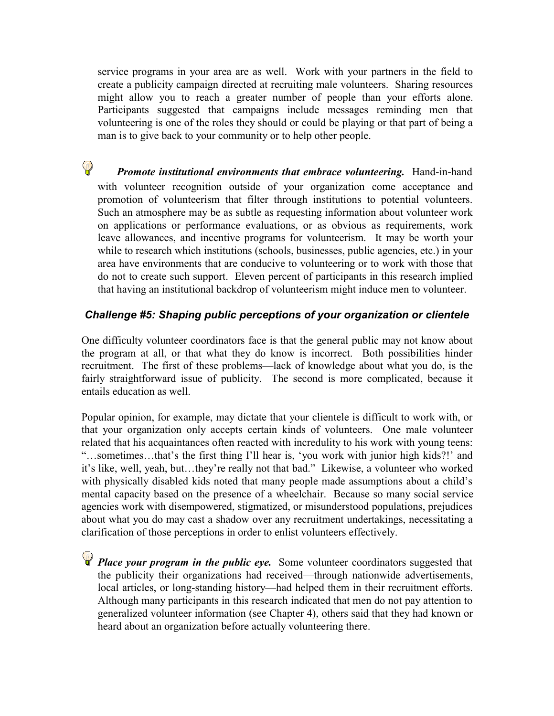service programs in your area are as well. Work with your partners in the field to create a publicity campaign directed at recruiting male volunteers. Sharing resources might allow you to reach a greater number of people than your efforts alone. Participants suggested that campaigns include messages reminding men that volunteering is one of the roles they should or could be playing or that part of being a man is to give back to your community or to help other people.

 $\mathsf{Q}$ *Promote institutional environments that embrace volunteering.* Hand-in-hand with volunteer recognition outside of your organization come acceptance and promotion of volunteerism that filter through institutions to potential volunteers. Such an atmosphere may be as subtle as requesting information about volunteer work on applications or performance evaluations, or as obvious as requirements, work leave allowances, and incentive programs for volunteerism. It may be worth your while to research which institutions (schools, businesses, public agencies, etc.) in your area have environments that are conducive to volunteering or to work with those that do not to create such support. Eleven percent of participants in this research implied that having an institutional backdrop of volunteerism might induce men to volunteer.

#### *Challenge #5: Shaping public perceptions of your organization or clientele*

One difficulty volunteer coordinators face is that the general public may not know about the program at all, or that what they do know is incorrect. Both possibilities hinder recruitment. The first of these problems—lack of knowledge about what you do, is the fairly straightforward issue of publicity. The second is more complicated, because it entails education as well.

Popular opinion, for example, may dictate that your clientele is difficult to work with, or that your organization only accepts certain kinds of volunteers. One male volunteer related that his acquaintances often reacted with incredulity to his work with young teens: "…sometimes…that's the first thing I'll hear is, 'you work with junior high kids?!' and it's like, well, yeah, but…they're really not that bad." Likewise, a volunteer who worked with physically disabled kids noted that many people made assumptions about a child's mental capacity based on the presence of a wheelchair. Because so many social service agencies work with disempowered, stigmatized, or misunderstood populations, prejudices about what you do may cast a shadow over any recruitment undertakings, necessitating a clarification of those perceptions in order to enlist volunteers effectively.

**P** Place your program in the public eye. Some volunteer coordinators suggested that the publicity their organizations had received—through nationwide advertisements, local articles, or long-standing history—had helped them in their recruitment efforts. Although many participants in this research indicated that men do not pay attention to generalized volunteer information (see Chapter 4), others said that they had known or heard about an organization before actually volunteering there.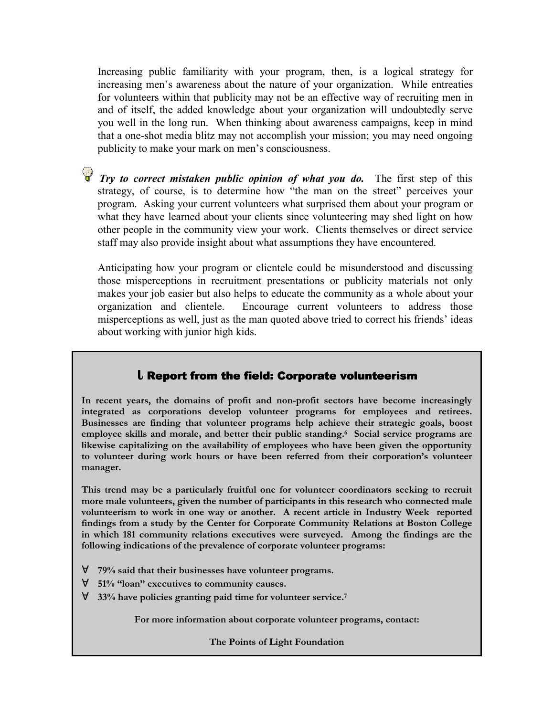Increasing public familiarity with your program, then, is a logical strategy for increasing men's awareness about the nature of your organization. While entreaties for volunteers within that publicity may not be an effective way of recruiting men in and of itself, the added knowledge about your organization will undoubtedly serve you well in the long run. When thinking about awareness campaigns, keep in mind that a one-shot media blitz may not accomplish your mission; you may need ongoing publicity to make your mark on men's consciousness.

*Try to correct mistaken public opinion of what you do.* The first step of this strategy, of course, is to determine how "the man on the street" perceives your program. Asking your current volunteers what surprised them about your program or what they have learned about your clients since volunteering may shed light on how other people in the community view your work. Clients themselves or direct service staff may also provide insight about what assumptions they have encountered.

Anticipating how your program or clientele could be misunderstood and discussing those misperceptions in recruitment presentations or publicity materials not only makes your job easier but also helps to educate the community as a whole about your organization and clientele. Encourage current volunteers to address those misperceptions as well, just as the man quoted above tried to correct his friends' ideas about working with junior high kids.

## **L** Report from the field: Corporate volunteerism

**In recent years, the domains of profit and non-profit sectors have become increasingly integrated as corporations develop volunteer programs for employees and retirees. Businesses are finding that volunteer programs help achieve their strategic goals, boost employee skills and morale, and better their public standing.6 Social service programs are likewise capitalizing on the availability of employees who have been given the opportunity to volunteer during work hours or have been referred from their corporation's volunteer manager.**

**This trend may be a particularly fruitful one for volunteer coordinators seeking to recruit more male volunteers, given the number of participants in this research who connected male volunteerism to work in one way or another. A recent article in Industry Week reported findings from a study by the Center for Corporate Community Relations at Boston College in which 181 community relations executives were surveyed. Among the findings are the following indications of the prevalence of corporate volunteer programs:**

- $\forall$  79% said that their businesses have volunteer programs.
- " **51% "loan" executives to community causes.**
- " **33% have policies granting paid time for volunteer service.7**

**For more information about corporate volunteer programs, contact:**

**The Points of Light Foundation**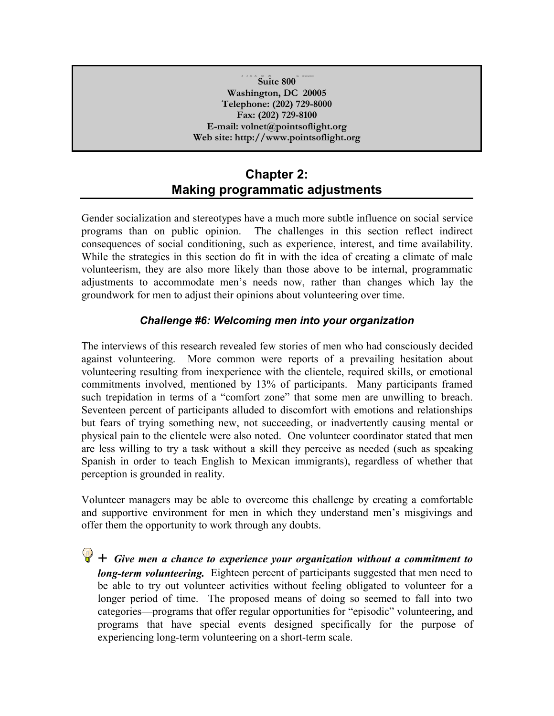#### **1400 I Street, NW Suite 800 Washington, DC 20005 Telephone: (202) 729-8000 Fax: (202) 729-8100 E-mail: volnet@pointsoflight.org Web site: http://www.pointsoflight.org**

# **Chapter 2: Making programmatic adjustments**

Gender socialization and stereotypes have a much more subtle influence on social service programs than on public opinion. The challenges in this section reflect indirect consequences of social conditioning, such as experience, interest, and time availability. While the strategies in this section do fit in with the idea of creating a climate of male volunteerism, they are also more likely than those above to be internal, programmatic adjustments to accommodate men's needs now, rather than changes which lay the groundwork for men to adjust their opinions about volunteering over time.

## *Challenge #6: Welcoming men into your organization*

The interviews of this research revealed few stories of men who had consciously decided against volunteering. More common were reports of a prevailing hesitation about volunteering resulting from inexperience with the clientele, required skills, or emotional commitments involved, mentioned by 13% of participants. Many participants framed such trepidation in terms of a "comfort zone" that some men are unwilling to breach. Seventeen percent of participants alluded to discomfort with emotions and relationships but fears of trying something new, not succeeding, or inadvertently causing mental or physical pain to the clientele were also noted. One volunteer coordinator stated that men are less willing to try a task without a skill they perceive as needed (such as speaking Spanish in order to teach English to Mexican immigrants), regardless of whether that perception is grounded in reality.

Volunteer managers may be able to overcome this challenge by creating a comfortable and supportive environment for men in which they understand men's misgivings and offer them the opportunity to work through any doubts.

 $\bigcirc$  + *Give men a chance to experience your organization without a commitment to long-term volunteering.* Eighteen percent of participants suggested that men need to be able to try out volunteer activities without feeling obligated to volunteer for a longer period of time. The proposed means of doing so seemed to fall into two categories—programs that offer regular opportunities for "episodic" volunteering, and programs that have special events designed specifically for the purpose of experiencing long-term volunteering on a short-term scale.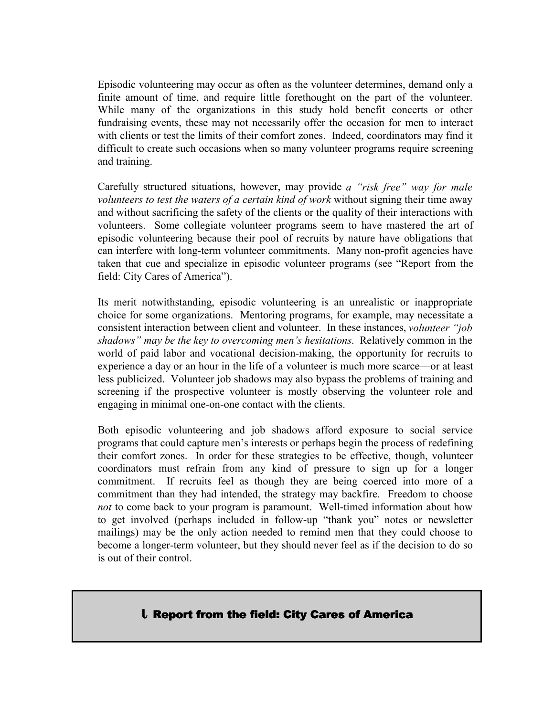Episodic volunteering may occur as often as the volunteer determines, demand only a finite amount of time, and require little forethought on the part of the volunteer. While many of the organizations in this study hold benefit concerts or other fundraising events, these may not necessarily offer the occasion for men to interact with clients or test the limits of their comfort zones. Indeed, coordinators may find it difficult to create such occasions when so many volunteer programs require screening and training.

Carefully structured situations, however, may provide *a "risk free" way for male volunteers to test the waters of a certain kind of work* without signing their time away and without sacrificing the safety of the clients or the quality of their interactions with volunteers. Some collegiate volunteer programs seem to have mastered the art of episodic volunteering because their pool of recruits by nature have obligations that can interfere with long-term volunteer commitments. Many non-profit agencies have taken that cue and specialize in episodic volunteer programs (see "Report from the field: City Cares of America").

Its merit notwithstanding, episodic volunteering is an unrealistic or inappropriate choice for some organizations. Mentoring programs, for example, may necessitate a consistent interaction between client and volunteer. In these instances, *volunteer "job shadows" may be the key to overcoming men's hesitations*. Relatively common in the world of paid labor and vocational decision-making, the opportunity for recruits to experience a day or an hour in the life of a volunteer is much more scarce—or at least less publicized. Volunteer job shadows may also bypass the problems of training and screening if the prospective volunteer is mostly observing the volunteer role and engaging in minimal one-on-one contact with the clients.

Both episodic volunteering and job shadows afford exposure to social service programs that could capture men's interests or perhaps begin the process of redefining their comfort zones. In order for these strategies to be effective, though, volunteer coordinators must refrain from any kind of pressure to sign up for a longer commitment. If recruits feel as though they are being coerced into more of a commitment than they had intended, the strategy may backfire. Freedom to choose *not* to come back to your program is paramount. Well-timed information about how to get involved (perhaps included in follow-up "thank you" notes or newsletter mailings) may be the only action needed to remind men that they could choose to become a longer-term volunteer, but they should never feel as if the decision to do so is out of their control.

## **L Report from the field: City Cares of America**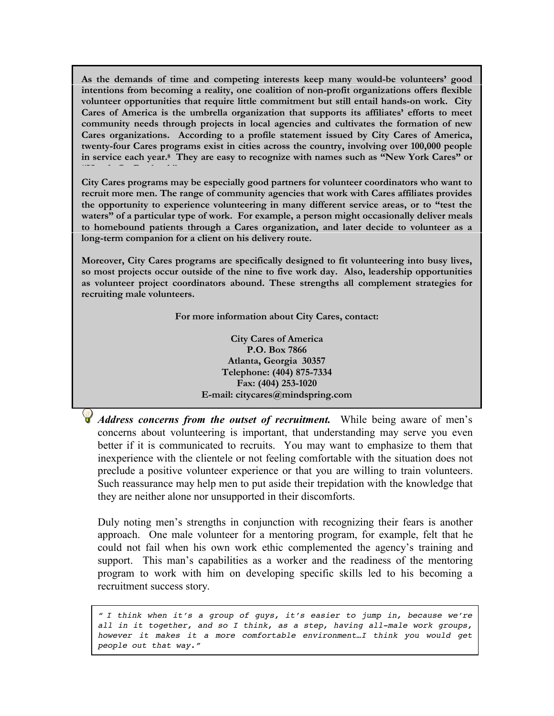**As the demands of time and competing interests keep many would-be volunteers' good intentions from becoming a reality, one coalition of non-profit organizations offers flexible volunteer opportunities that require little commitment but still entail hands-on work. City Cares of America is the umbrella organization that supports its affiliates' efforts to meet community needs through projects in local agencies and cultivates the formation of new Cares organizations. According to a profile statement issued by City Cares of America, twenty-four Cares programs exist in cities across the country, involving over 100,000 people in service each year.8 They are easy to recognize with names such as "New York Cares" or "Hands On Portland."**

**City Cares programs may be especially good partners for volunteer coordinators who want to recruit more men. The range of community agencies that work with Cares affiliates provides the opportunity to experience volunteering in many different service areas, or to "test the waters" of a particular type of work. For example, a person might occasionally deliver meals to homebound patients through a Cares organization, and later decide to volunteer as a long-term companion for a client on his delivery route.**

**Moreover, City Cares programs are specifically designed to fit volunteering into busy lives, so most projects occur outside of the nine to five work day. Also, leadership opportunities as volunteer project coordinators abound. These strengths all complement strategies for recruiting male volunteers.**

**For more information about City Cares, contact:**

**City Cares of America P.O. Box 7866 Atlanta, Georgia 30357 Telephone: (404) 875-7334 Fax: (404) 253-1020 E-mail: citycares@mindspring.com**

*Address concerns from the outset of recruitment.* While being aware of men's concerns about volunteering is important, that understanding may serve you even better if it is communicated to recruits. You may want to emphasize to them that inexperience with the clientele or not feeling comfortable with the situation does not preclude a positive volunteer experience or that you are willing to train volunteers. Such reassurance may help men to put aside their trepidation with the knowledge that they are neither alone nor unsupported in their discomforts.

Duly noting men's strengths in conjunction with recognizing their fears is another approach. One male volunteer for a mentoring program, for example, felt that he could not fail when his own work ethic complemented the agency's training and support. This man's capabilities as a worker and the readiness of the mentoring program to work with him on developing specific skills led to his becoming a recruitment success story.

*" I think when it's a group of guys, it's easier to jump in, because we're all in it together, and so I think, as a step, having all-male work groups, however it makes it a more comfortable environment…I think you would get people out that way."*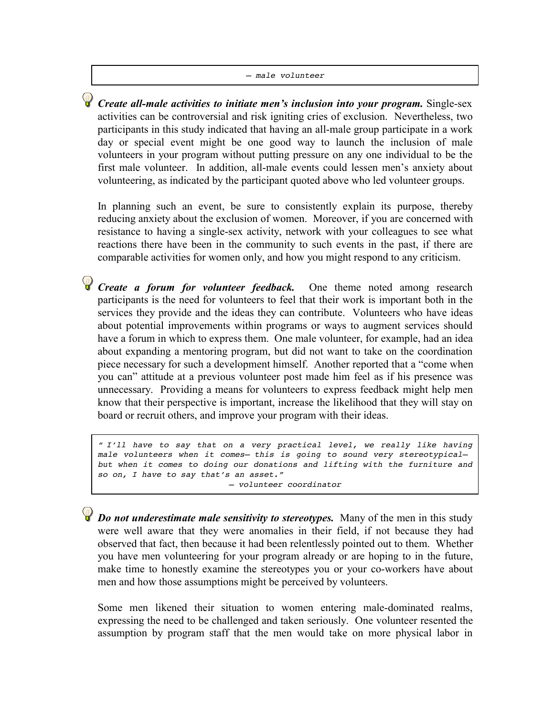#### *– male volunteer*

*Create all-male activities to initiate men's inclusion into your program.* Single-sex activities can be controversial and risk igniting cries of exclusion. Nevertheless, two participants in this study indicated that having an all-male group participate in a work day or special event might be one good way to launch the inclusion of male volunteers in your program without putting pressure on any one individual to be the first male volunteer. In addition, all-male events could lessen men's anxiety about volunteering, as indicated by the participant quoted above who led volunteer groups.

In planning such an event, be sure to consistently explain its purpose, thereby reducing anxiety about the exclusion of women. Moreover, if you are concerned with resistance to having a single-sex activity, network with your colleagues to see what reactions there have been in the community to such events in the past, if there are comparable activities for women only, and how you might respond to any criticism.

*Create a forum for volunteer feedback*. One theme noted among research participants is the need for volunteers to feel that their work is important both in the services they provide and the ideas they can contribute. Volunteers who have ideas about potential improvements within programs or ways to augment services should have a forum in which to express them. One male volunteer, for example, had an idea about expanding a mentoring program, but did not want to take on the coordination piece necessary for such a development himself. Another reported that a "come when you can" attitude at a previous volunteer post made him feel as if his presence was unnecessary. Providing a means for volunteers to express feedback might help men know that their perspective is important, increase the likelihood that they will stay on board or recruit others, and improve your program with their ideas.

*" I'll have to say that on a very practical level, we really like having male volunteers when it comes— this is going to sound very stereotypical but when it comes to doing our donations and lifting with the furniture and so on, I have to say that's an asset."*

*– volunteer coordinator*

*Do not underestimate male sensitivity to stereotypes.* Many of the men in this study were well aware that they were anomalies in their field, if not because they had observed that fact, then because it had been relentlessly pointed out to them. Whether you have men volunteering for your program already or are hoping to in the future, make time to honestly examine the stereotypes you or your co-workers have about men and how those assumptions might be perceived by volunteers.

Some men likened their situation to women entering male-dominated realms, expressing the need to be challenged and taken seriously. One volunteer resented the assumption by program staff that the men would take on more physical labor in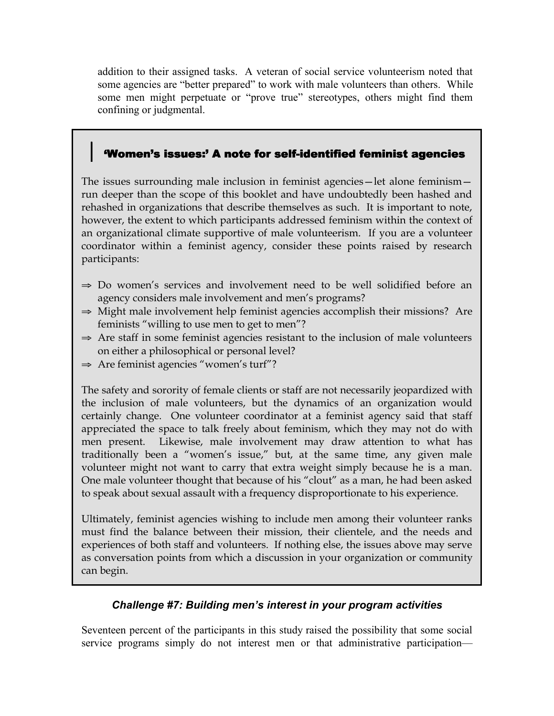addition to their assigned tasks. A veteran of social service volunteerism noted that some agencies are "better prepared" to work with male volunteers than others. While some men might perpetuate or "prove true" stereotypes, others might find them confining or judgmental.

# 'Women's issues:' A note for self-identified feminist agencies

The issues surrounding male inclusion in feminist agencies—let alone feminism run deeper than the scope of this booklet and have undoubtedly been hashed and rehashed in organizations that describe themselves as such. It is important to note, however, the extent to which participants addressed feminism within the context of an organizational climate supportive of male volunteerism. If you are a volunteer coordinator within a feminist agency, consider these points raised by research participants:

- $\Rightarrow$  Do women's services and involvement need to be well solidified before an agency considers male involvement and men's programs?
- $\Rightarrow$  Might male involvement help feminist agencies accomplish their missions? Are feminists "willing to use men to get to men"?
- $\Rightarrow$  Are staff in some feminist agencies resistant to the inclusion of male volunteers on either a philosophical or personal level?
- $\Rightarrow$  Are feminist agencies "women's turf"?

The safety and sorority of female clients or staff are not necessarily jeopardized with the inclusion of male volunteers, but the dynamics of an organization would certainly change. One volunteer coordinator at a feminist agency said that staff appreciated the space to talk freely about feminism, which they may not do with men present. Likewise, male involvement may draw attention to what has traditionally been a "women's issue," but, at the same time, any given male volunteer might not want to carry that extra weight simply because he is a man. One male volunteer thought that because of his "clout" as a man, he had been asked to speak about sexual assault with a frequency disproportionate to his experience.

Ultimately, feminist agencies wishing to include men among their volunteer ranks must find the balance between their mission, their clientele, and the needs and experiences of both staff and volunteers. If nothing else, the issues above may serve as conversation points from which a discussion in your organization or community can begin.

## *Challenge #7: Building men's interest in your program activities*

Seventeen percent of the participants in this study raised the possibility that some social service programs simply do not interest men or that administrative participation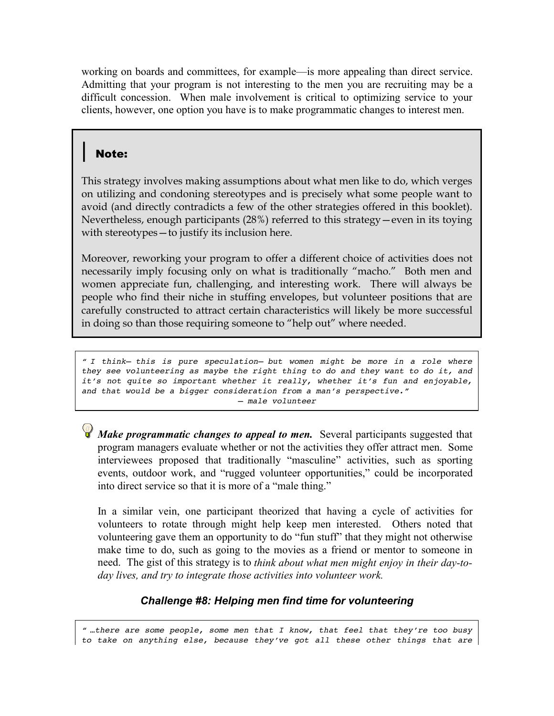working on boards and committees, for example—is more appealing than direct service. Admitting that your program is not interesting to the men you are recruiting may be a difficult concession. When male involvement is critical to optimizing service to your clients, however, one option you have is to make programmatic changes to interest men.

# **Note:**

This strategy involves making assumptions about what men like to do, which verges on utilizing and condoning stereotypes and is precisely what some people want to avoid (and directly contradicts a few of the other strategies offered in this booklet). Nevertheless, enough participants (28%) referred to this strategy—even in its toying with stereotypes—to justify its inclusion here.

Moreover, reworking your program to offer a different choice of activities does not necessarily imply focusing only on what is traditionally "macho." Both men and women appreciate fun, challenging, and interesting work. There will always be people who find their niche in stuffing envelopes, but volunteer positions that are carefully constructed to attract certain characteristics will likely be more successful in doing so than those requiring someone to "help out" where needed.

*" I think— this is pure speculation— but women might be more in a role where they see volunteering as maybe the right thing to do and they want to do it, and it's not quite so important whether it really, whether it's fun and enjoyable, and that would be a bigger consideration from a man's perspective." – male volunteer*

*Make programmatic changes to appeal to men.* Several participants suggested that program managers evaluate whether or not the activities they offer attract men. Some interviewees proposed that traditionally "masculine" activities, such as sporting events, outdoor work, and "rugged volunteer opportunities," could be incorporated into direct service so that it is more of a "male thing."

In a similar vein, one participant theorized that having a cycle of activities for volunteers to rotate through might help keep men interested. Others noted that volunteering gave them an opportunity to do "fun stuff" that they might not otherwise make time to do, such as going to the movies as a friend or mentor to someone in need. The gist of this strategy is to *think about what men might enjoy in their day-today lives, and try to integrate those activities into volunteer work.*

# *Challenge #8: Helping men find time for volunteering*

*" …there are some people, some men that I know, that feel that they're too busy to take on anything else, because they've got all these other things that are*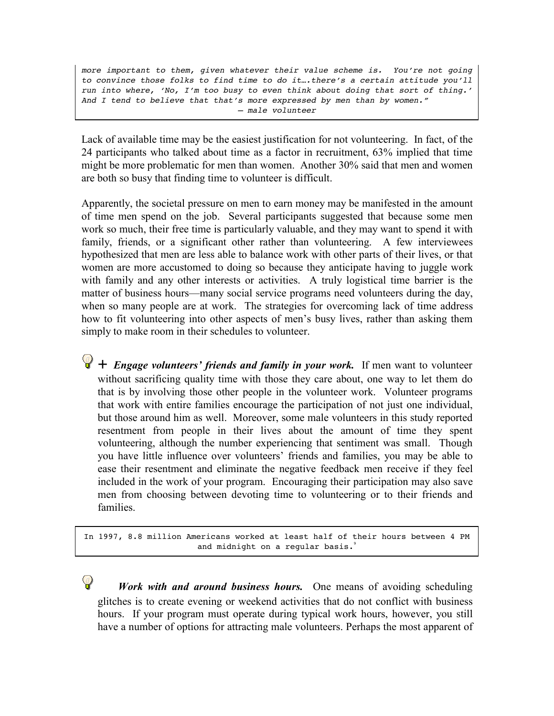*more important to them, given whatever their value scheme is. You're not going to convince those folks to find time to do it….there's a certain attitude you'll run into where, 'No, I'm too busy to even think about doing that sort of thing.' And I tend to believe that that's more expressed by men than by women." – male volunteer*

Lack of available time may be the easiest justification for not volunteering. In fact, of the 24 participants who talked about time as a factor in recruitment, 63% implied that time might be more problematic for men than women. Another 30% said that men and women are both so busy that finding time to volunteer is difficult.

Apparently, the societal pressure on men to earn money may be manifested in the amount of time men spend on the job. Several participants suggested that because some men work so much, their free time is particularly valuable, and they may want to spend it with family, friends, or a significant other rather than volunteering. A few interviewees hypothesized that men are less able to balance work with other parts of their lives, or that women are more accustomed to doing so because they anticipate having to juggle work with family and any other interests or activities. A truly logistical time barrier is the matter of business hours—many social service programs need volunteers during the day, when so many people are at work. The strategies for overcoming lack of time address how to fit volunteering into other aspects of men's busy lives, rather than asking them simply to make room in their schedules to volunteer.

 $\bigcirc$  + *Engage volunteers' friends and family in your work*. If men want to volunteer without sacrificing quality time with those they care about, one way to let them do that is by involving those other people in the volunteer work. Volunteer programs that work with entire families encourage the participation of not just one individual, but those around him as well. Moreover, some male volunteers in this study reported resentment from people in their lives about the amount of time they spent volunteering, although the number experiencing that sentiment was small. Though you have little influence over volunteers' friends and families, you may be able to ease their resentment and eliminate the negative feedback men receive if they feel included in the work of your program. Encouraging their participation may also save men from choosing between devoting time to volunteering or to their friends and families.

In 1997, 8.8 million Americans worked at least half of their hours between 4 PM and midnight on a regular basis.<sup>9</sup>

*Work with and around business hours.* One means of avoiding scheduling glitches is to create evening or weekend activities that do not conflict with business hours. If your program must operate during typical work hours, however, you still have a number of options for attracting male volunteers. Perhaps the most apparent of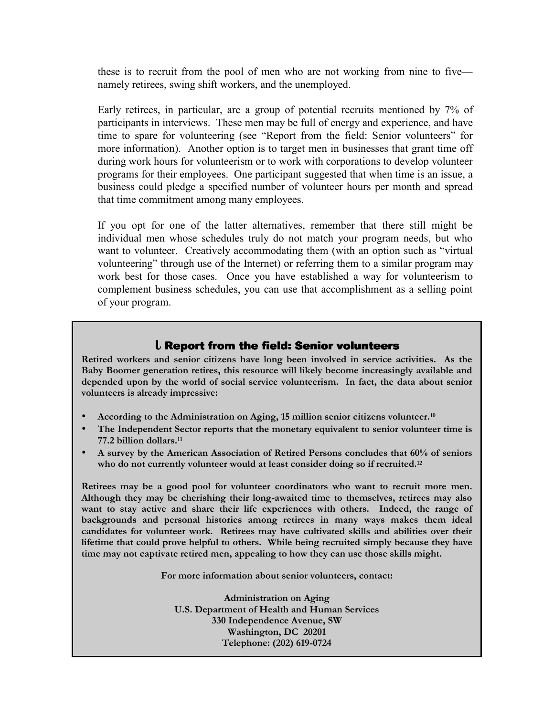these is to recruit from the pool of men who are not working from nine to five namely retirees, swing shift workers, and the unemployed.

Early retirees, in particular, are a group of potential recruits mentioned by 7% of participants in interviews. These men may be full of energy and experience, and have time to spare for volunteering (see "Report from the field: Senior volunteers" for more information). Another option is to target men in businesses that grant time off during work hours for volunteerism or to work with corporations to develop volunteer programs for their employees. One participant suggested that when time is an issue, a business could pledge a specified number of volunteer hours per month and spread that time commitment among many employees.

If you opt for one of the latter alternatives, remember that there still might be individual men whose schedules truly do not match your program needs, but who want to volunteer. Creatively accommodating them (with an option such as "virtual volunteering" through use of the Internet) or referring them to a similar program may work best for those cases. Once you have established a way for volunteerism to complement business schedules, you can use that accomplishment as a selling point of your program.

#### **Report from the field: Senior volunteers**

**Retired workers and senior citizens have long been involved in service activities. As the Baby Boomer generation retires, this resource will likely become increasingly available and depended upon by the world of social service volunteerism. In fact, the data about senior volunteers is already impressive:**

- **According to the Administration on Aging, 15 million senior citizens volunteer.10**
- **The Independent Sector reports that the monetary equivalent to senior volunteer time is 77.2 billion dollars.11**
- **A survey by the American Association of Retired Persons concludes that 60% of seniors who do not currently volunteer would at least consider doing so if recruited.12**

**Retirees may be a good pool for volunteer coordinators who want to recruit more men. Although they may be cherishing their long-awaited time to themselves, retirees may also want to stay active and share their life experiences with others. Indeed, the range of backgrounds and personal histories among retirees in many ways makes them ideal candidates for volunteer work. Retirees may have cultivated skills and abilities over their lifetime that could prove helpful to others. While being recruited simply because they have time may not captivate retired men, appealing to how they can use those skills might.**

**For more information about senior volunteers, contact:**

**Administration on Aging U.S. Department of Health and Human Services 330 Independence Avenue, SW Washington, DC 20201 Telephone: (202) 619-0724**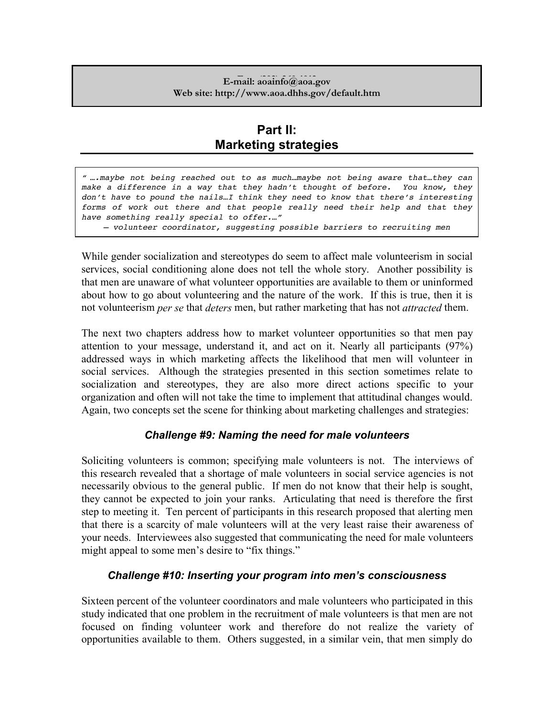#### **E-mail:** aoainfo@aoa.gov **Web site: http://www.aoa.dhhs.gov/default.htm**

# **Part II: Marketing strategies**

*" ….maybe not being reached out to as much…maybe not being aware that…they can make a difference in a way that they hadn't thought of before. You know, they don't have to pound the nails…I think they need to know that there's interesting forms of work out there and that people really need their help and that they have something really special to offer.…"*

*– volunteer coordinator, suggesting possible barriers to recruiting men*

While gender socialization and stereotypes do seem to affect male volunteerism in social services, social conditioning alone does not tell the whole story. Another possibility is that men are unaware of what volunteer opportunities are available to them or uninformed about how to go about volunteering and the nature of the work. If this is true, then it is not volunteerism *per se* that *deters* men, but rather marketing that has not *attracted* them.

The next two chapters address how to market volunteer opportunities so that men pay attention to your message, understand it, and act on it. Nearly all participants (97%) addressed ways in which marketing affects the likelihood that men will volunteer in social services. Although the strategies presented in this section sometimes relate to socialization and stereotypes, they are also more direct actions specific to your organization and often will not take the time to implement that attitudinal changes would. Again, two concepts set the scene for thinking about marketing challenges and strategies:

## *Challenge #9: Naming the need for male volunteers*

Soliciting volunteers is common; specifying male volunteers is not. The interviews of this research revealed that a shortage of male volunteers in social service agencies is not necessarily obvious to the general public. If men do not know that their help is sought, they cannot be expected to join your ranks. Articulating that need is therefore the first step to meeting it. Ten percent of participants in this research proposed that alerting men that there is a scarcity of male volunteers will at the very least raise their awareness of your needs. Interviewees also suggested that communicating the need for male volunteers might appeal to some men's desire to "fix things."

#### *Challenge #10: Inserting your program into men's consciousness*

Sixteen percent of the volunteer coordinators and male volunteers who participated in this study indicated that one problem in the recruitment of male volunteers is that men are not focused on finding volunteer work and therefore do not realize the variety of opportunities available to them. Others suggested, in a similar vein, that men simply do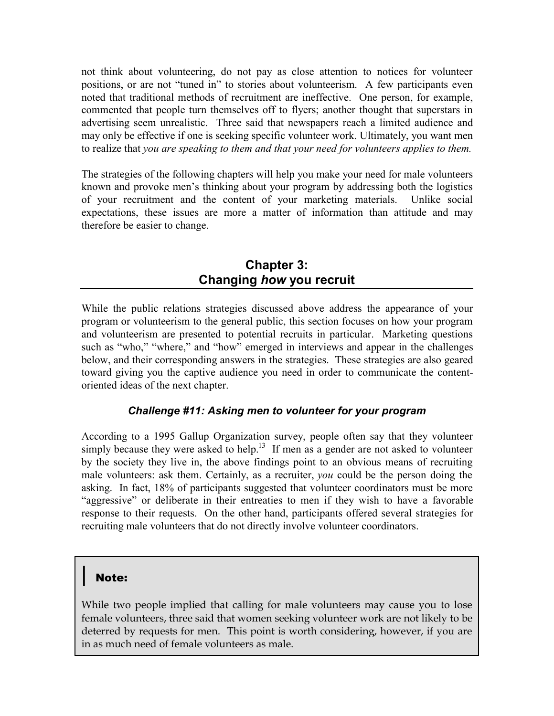not think about volunteering, do not pay as close attention to notices for volunteer positions, or are not "tuned in" to stories about volunteerism. A few participants even noted that traditional methods of recruitment are ineffective. One person, for example, commented that people turn themselves off to flyers; another thought that superstars in advertising seem unrealistic. Three said that newspapers reach a limited audience and may only be effective if one is seeking specific volunteer work. Ultimately, you want men to realize that *you are speaking to them and that your need for volunteers applies to them.*

The strategies of the following chapters will help you make your need for male volunteers known and provoke men's thinking about your program by addressing both the logistics of your recruitment and the content of your marketing materials. Unlike social expectations, these issues are more a matter of information than attitude and may therefore be easier to change.

# **Chapter 3: Changing** *how* **you recruit**

While the public relations strategies discussed above address the appearance of your program or volunteerism to the general public, this section focuses on how your program and volunteerism are presented to potential recruits in particular. Marketing questions such as "who," "where," and "how" emerged in interviews and appear in the challenges below, and their corresponding answers in the strategies. These strategies are also geared toward giving you the captive audience you need in order to communicate the contentoriented ideas of the next chapter.

## *Challenge #11: Asking men to volunteer for your program*

According to a 1995 Gallup Organization survey, people often say that they volunteer simply because they were asked to help.<sup>13</sup> If men as a gender are not asked to volunteer by the society they live in, the above findings point to an obvious means of recruiting male volunteers: ask them. Certainly, as a recruiter, *you* could be the person doing the asking. In fact, 18% of participants suggested that volunteer coordinators must be more "aggressive" or deliberate in their entreaties to men if they wish to have a favorable response to their requests. On the other hand, participants offered several strategies for recruiting male volunteers that do not directly involve volunteer coordinators.

# **Note:**

While two people implied that calling for male volunteers may cause you to lose female volunteers, three said that women seeking volunteer work are not likely to be deterred by requests for men. This point is worth considering, however, if you are in as much need of female volunteers as male.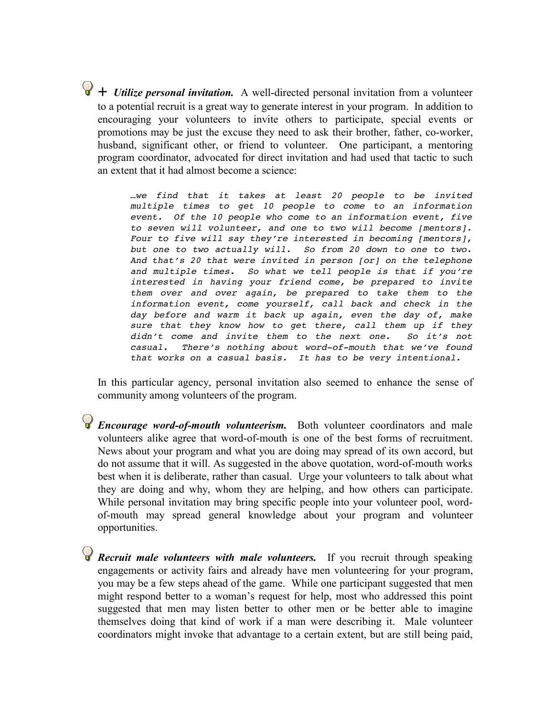$\bigcirc$  + *Utilize personal invitation*. A well-directed personal invitation from a volunteer to a potential recruit is a great way to generate interest in your program. In addition to encouraging your volunteers to invite others to participate, special events or promotions may be just the excuse they need to ask their brother, father, co-worker, husband, significant other, or friend to volunteer. One participant, a mentoring program coordinator, advocated for direct invitation and had used that tactic to such an extent that it had almost become a science:

> *…we find that it takes at least 20 people to be invited multiple times to get 10 people to come to an information event. Of the 10 people who come to an information event, five to seven will volunteer, and one to two will become [mentors]. Four to five will say they're interested in becoming [mentors], but one to two actually will. So from 20 down to one to two. And that's 20 that were invited in person [or] on the telephone and multiple times. So what we tell people is that if you're interested in having your friend come, be prepared to invite them over and over again, be prepared to take them to the information event, come yourself, call back and check in the day before and warm it back up again, even the day of, make sure that they know how to get there, call them up if they didn't come and invite them to the next one. So it's not casual. There's nothing about word-of-mouth that we've found that works on a casual basis. It has to be very intentional.*

In this particular agency, personal invitation also seemed to enhance the sense of community among volunteers of the program.

*Encourage word-of-mouth volunteerism.* Both volunteer coordinators and male volunteers alike agree that word-of-mouth is one of the best forms of recruitment. News about your program and what you are doing may spread of its own accord, but do not assume that it will. As suggested in the above quotation, word-of-mouth works best when it is deliberate, rather than casual. Urge your volunteers to talk about what they are doing and why, whom they are helping, and how others can participate. While personal invitation may bring specific people into your volunteer pool, wordof-mouth may spread general knowledge about your program and volunteer opportunities.

*Recruit male volunteers with male volunteers.* If you recruit through speaking engagements or activity fairs and already have men volunteering for your program, you may be a few steps ahead of the game. While one participant suggested that men might respond better to a woman's request for help, most who addressed this point suggested that men may listen better to other men or be better able to imagine themselves doing that kind of work if a man were describing it. Male volunteer coordinators might invoke that advantage to a certain extent, but are still being paid,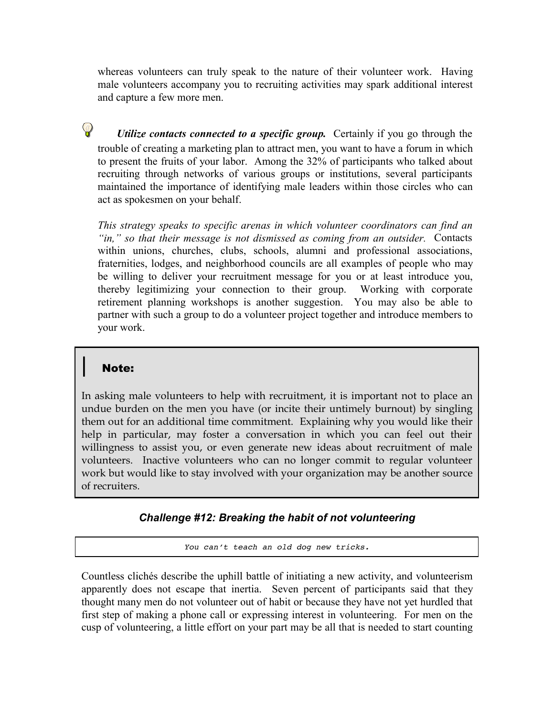whereas volunteers can truly speak to the nature of their volunteer work. Having male volunteers accompany you to recruiting activities may spark additional interest and capture a few more men.

*Utilize contacts connected to a specific group.* Certainly if you go through the trouble of creating a marketing plan to attract men, you want to have a forum in which to present the fruits of your labor. Among the 32% of participants who talked about recruiting through networks of various groups or institutions, several participants maintained the importance of identifying male leaders within those circles who can act as spokesmen on your behalf.

*This strategy speaks to specific arenas in which volunteer coordinators can find an "in," so that their message is not dismissed as coming from an outsider.* Contacts within unions, churches, clubs, schools, alumni and professional associations, fraternities, lodges, and neighborhood councils are all examples of people who may be willing to deliver your recruitment message for you or at least introduce you, thereby legitimizing your connection to their group. Working with corporate retirement planning workshops is another suggestion. You may also be able to partner with such a group to do a volunteer project together and introduce members to your work.

# **Note:**

 $\mathsf{Q}$ 

In asking male volunteers to help with recruitment, it is important not to place an undue burden on the men you have (or incite their untimely burnout) by singling them out for an additional time commitment. Explaining why you would like their help in particular, may foster a conversation in which you can feel out their willingness to assist you, or even generate new ideas about recruitment of male volunteers. Inactive volunteers who can no longer commit to regular volunteer work but would like to stay involved with your organization may be another source of recruiters.

#### *Challenge #12: Breaking the habit of not volunteering*

*You can't teach an old dog new tricks.*

Countless clichés describe the uphill battle of initiating a new activity, and volunteerism apparently does not escape that inertia. Seven percent of participants said that they thought many men do not volunteer out of habit or because they have not yet hurdled that first step of making a phone call or expressing interest in volunteering. For men on the cusp of volunteering, a little effort on your part may be all that is needed to start counting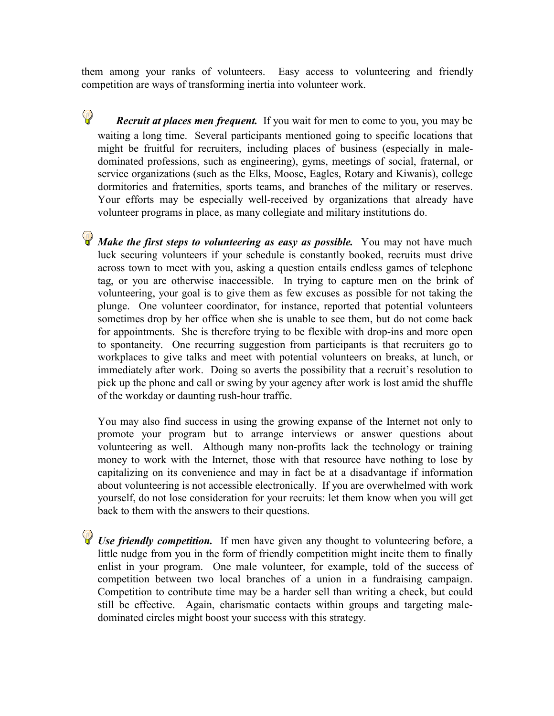them among your ranks of volunteers. Easy access to volunteering and friendly competition are ways of transforming inertia into volunteer work.

 $\mathbf{\mathcal{P}}$ *Recruit at places men frequent.* If you wait for men to come to you, you may be waiting a long time. Several participants mentioned going to specific locations that might be fruitful for recruiters, including places of business (especially in maledominated professions, such as engineering), gyms, meetings of social, fraternal, or service organizations (such as the Elks, Moose, Eagles, Rotary and Kiwanis), college dormitories and fraternities, sports teams, and branches of the military or reserves. Your efforts may be especially well-received by organizations that already have volunteer programs in place, as many collegiate and military institutions do.

*Make the first steps to volunteering as easy as possible.* You may not have much luck securing volunteers if your schedule is constantly booked, recruits must drive across town to meet with you, asking a question entails endless games of telephone tag, or you are otherwise inaccessible. In trying to capture men on the brink of volunteering, your goal is to give them as few excuses as possible for not taking the plunge. One volunteer coordinator, for instance, reported that potential volunteers sometimes drop by her office when she is unable to see them, but do not come back for appointments. She is therefore trying to be flexible with drop-ins and more open to spontaneity. One recurring suggestion from participants is that recruiters go to workplaces to give talks and meet with potential volunteers on breaks, at lunch, or immediately after work. Doing so averts the possibility that a recruit's resolution to pick up the phone and call or swing by your agency after work is lost amid the shuffle of the workday or daunting rush-hour traffic.

You may also find success in using the growing expanse of the Internet not only to promote your program but to arrange interviews or answer questions about volunteering as well. Although many non-profits lack the technology or training money to work with the Internet, those with that resource have nothing to lose by capitalizing on its convenience and may in fact be at a disadvantage if information about volunteering is not accessible electronically. If you are overwhelmed with work yourself, do not lose consideration for your recruits: let them know when you will get back to them with the answers to their questions.

*Use friendly competition.* If men have given any thought to volunteering before, a little nudge from you in the form of friendly competition might incite them to finally enlist in your program. One male volunteer, for example, told of the success of competition between two local branches of a union in a fundraising campaign. Competition to contribute time may be a harder sell than writing a check, but could still be effective. Again, charismatic contacts within groups and targeting maledominated circles might boost your success with this strategy.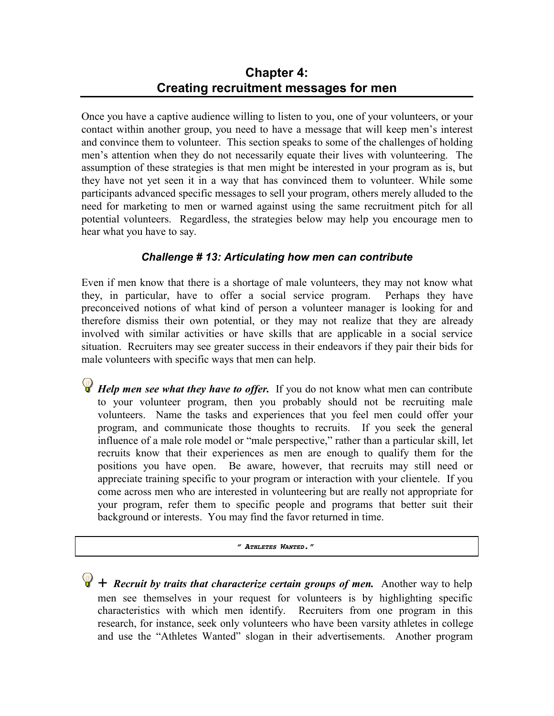# **Chapter 4: Creating recruitment messages for men**

Once you have a captive audience willing to listen to you, one of your volunteers, or your contact within another group, you need to have a message that will keep men's interest and convince them to volunteer. This section speaks to some of the challenges of holding men's attention when they do not necessarily equate their lives with volunteering. The assumption of these strategies is that men might be interested in your program as is, but they have not yet seen it in a way that has convinced them to volunteer. While some participants advanced specific messages to sell your program, others merely alluded to the need for marketing to men or warned against using the same recruitment pitch for all potential volunteers. Regardless, the strategies below may help you encourage men to hear what you have to say.

## *Challenge # 13: Articulating how men can contribute*

Even if men know that there is a shortage of male volunteers, they may not know what they, in particular, have to offer a social service program. Perhaps they have preconceived notions of what kind of person a volunteer manager is looking for and therefore dismiss their own potential, or they may not realize that they are already involved with similar activities or have skills that are applicable in a social service situation. Recruiters may see greater success in their endeavors if they pair their bids for male volunteers with specific ways that men can help.

*Help men see what they have to offer.* If you do not know what men can contribute to your volunteer program, then you probably should not be recruiting male volunteers. Name the tasks and experiences that you feel men could offer your program, and communicate those thoughts to recruits. If you seek the general influence of a male role model or "male perspective," rather than a particular skill, let recruits know that their experiences as men are enough to qualify them for the positions you have open. Be aware, however, that recruits may still need or appreciate training specific to your program or interaction with your clientele. If you come across men who are interested in volunteering but are really not appropriate for your program, refer them to specific people and programs that better suit their background or interests. You may find the favor returned in time.

#### *" ATHLETES WANTED."*

 $\bigcirc$  + *Recruit by traits that characterize certain groups of men.* Another way to help men see themselves in your request for volunteers is by highlighting specific characteristics with which men identify. Recruiters from one program in this research, for instance, seek only volunteers who have been varsity athletes in college and use the "Athletes Wanted" slogan in their advertisements. Another program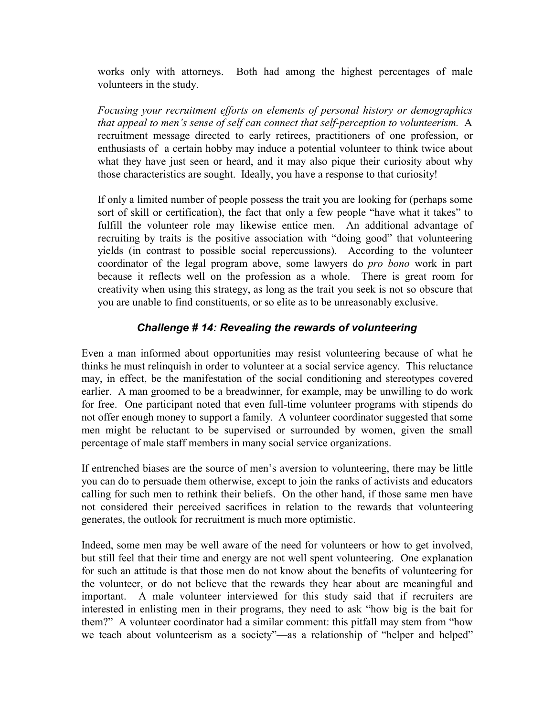works only with attorneys. Both had among the highest percentages of male volunteers in the study.

*Focusing your recruitment efforts on elements of personal history or demographics that appeal to men's sense of self can connect that self-perception to volunteerism.* A recruitment message directed to early retirees, practitioners of one profession, or enthusiasts of a certain hobby may induce a potential volunteer to think twice about what they have just seen or heard, and it may also pique their curiosity about why those characteristics are sought. Ideally, you have a response to that curiosity!

If only a limited number of people possess the trait you are looking for (perhaps some sort of skill or certification), the fact that only a few people "have what it takes" to fulfill the volunteer role may likewise entice men. An additional advantage of recruiting by traits is the positive association with "doing good" that volunteering yields (in contrast to possible social repercussions). According to the volunteer coordinator of the legal program above, some lawyers do *pro bono* work in part because it reflects well on the profession as a whole. There is great room for creativity when using this strategy, as long as the trait you seek is not so obscure that you are unable to find constituents, or so elite as to be unreasonably exclusive.

## *Challenge # 14: Revealing the rewards of volunteering*

Even a man informed about opportunities may resist volunteering because of what he thinks he must relinquish in order to volunteer at a social service agency. This reluctance may, in effect, be the manifestation of the social conditioning and stereotypes covered earlier. A man groomed to be a breadwinner, for example, may be unwilling to do work for free. One participant noted that even full-time volunteer programs with stipends do not offer enough money to support a family. A volunteer coordinator suggested that some men might be reluctant to be supervised or surrounded by women, given the small percentage of male staff members in many social service organizations.

If entrenched biases are the source of men's aversion to volunteering, there may be little you can do to persuade them otherwise, except to join the ranks of activists and educators calling for such men to rethink their beliefs. On the other hand, if those same men have not considered their perceived sacrifices in relation to the rewards that volunteering generates, the outlook for recruitment is much more optimistic.

Indeed, some men may be well aware of the need for volunteers or how to get involved, but still feel that their time and energy are not well spent volunteering. One explanation for such an attitude is that those men do not know about the benefits of volunteering for the volunteer, or do not believe that the rewards they hear about are meaningful and important. A male volunteer interviewed for this study said that if recruiters are interested in enlisting men in their programs, they need to ask "how big is the bait for them?" A volunteer coordinator had a similar comment: this pitfall may stem from "how we teach about volunteerism as a society"—as a relationship of "helper and helped"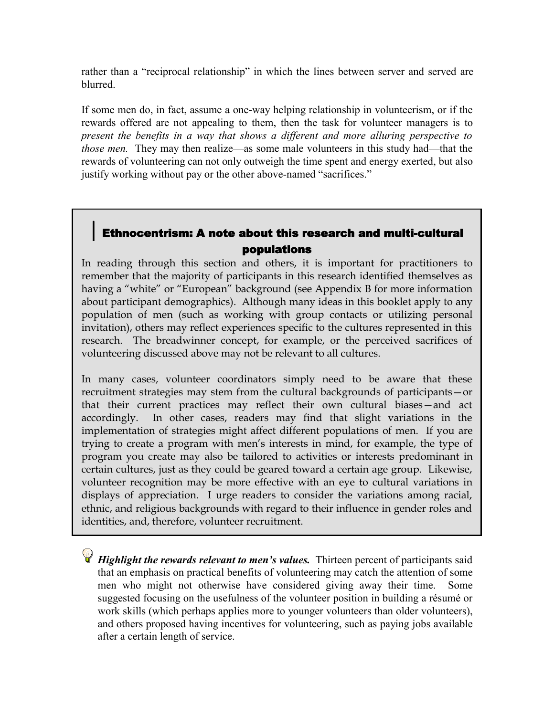rather than a "reciprocal relationship" in which the lines between server and served are blurred.

If some men do, in fact, assume a one-way helping relationship in volunteerism, or if the rewards offered are not appealing to them, then the task for volunteer managers is to *present the benefits in a way that shows a different and more alluring perspective to those men.* They may then realize—as some male volunteers in this study had—that the rewards of volunteering can not only outweigh the time spent and energy exerted, but also justify working without pay or the other above-named "sacrifices."

# Ethnocentrism: A note about this research and multi-cultural populations

In reading through this section and others, it is important for practitioners to remember that the majority of participants in this research identified themselves as having a "white" or "European" background (see Appendix B for more information about participant demographics). Although many ideas in this booklet apply to any population of men (such as working with group contacts or utilizing personal invitation), others may reflect experiences specific to the cultures represented in this research. The breadwinner concept, for example, or the perceived sacrifices of volunteering discussed above may not be relevant to all cultures.

In many cases, volunteer coordinators simply need to be aware that these recruitment strategies may stem from the cultural backgrounds of participants—or that their current practices may reflect their own cultural biases—and act accordingly. In other cases, readers may find that slight variations in the implementation of strategies might affect different populations of men. If you are trying to create a program with men's interests in mind, for example, the type of program you create may also be tailored to activities or interests predominant in certain cultures, just as they could be geared toward a certain age group. Likewise, volunteer recognition may be more effective with an eye to cultural variations in displays of appreciation. I urge readers to consider the variations among racial, ethnic, and religious backgrounds with regard to their influence in gender roles and identities, and, therefore, volunteer recruitment.

*Highlight the rewards relevant to men's values*. Thirteen percent of participants said that an emphasis on practical benefits of volunteering may catch the attention of some men who might not otherwise have considered giving away their time. Some suggested focusing on the usefulness of the volunteer position in building a résumé or work skills (which perhaps applies more to younger volunteers than older volunteers), and others proposed having incentives for volunteering, such as paying jobs available after a certain length of service.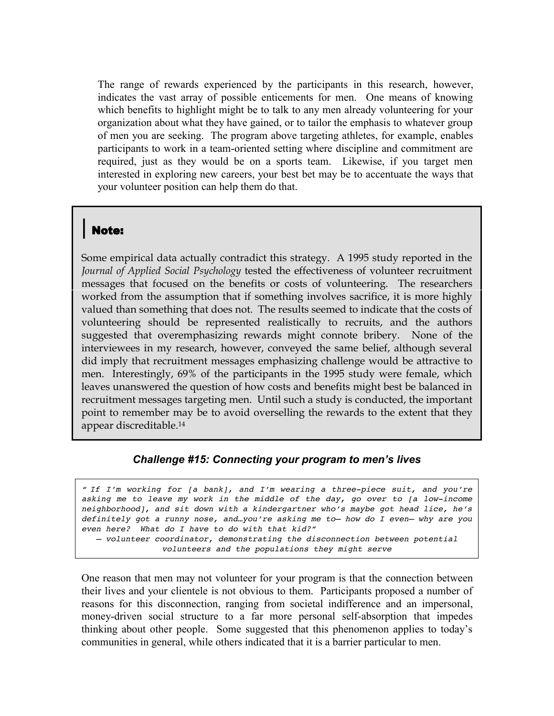The range of rewards experienced by the participants in this research, however, indicates the vast array of possible enticements for men. One means of knowing which benefits to highlight might be to talk to any men already volunteering for your organization about what they have gained, or to tailor the emphasis to whatever group of men you are seeking. The program above targeting athletes, for example, enables participants to work in a team-oriented setting where discipline and commitment are required, just as they would be on a sports team. Likewise, if you target men interested in exploring new careers, your best bet may be to accentuate the ways that your volunteer position can help them do that.

#### **Note:**

Some empirical data actually contradict this strategy. A 1995 study reported in the *Journal of Applied Social Psychology* tested the effectiveness of volunteer recruitment messages that focused on the benefits or costs of volunteering. The researchers worked from the assumption that if something involves sacrifice, it is more highly valued than something that does not. The results seemed to indicate that the costs of volunteering should be represented realistically to recruits, and the authors suggested that overemphasizing rewards might connote bribery. None of the interviewees in my research, however, conveyed the same belief, although several did imply that recruitment messages emphasizing challenge would be attractive to men. Interestingly, 69% of the participants in the 1995 study were female, which leaves unanswered the question of how costs and benefits might best be balanced in recruitment messages targeting men. Until such a study is conducted, the important point to remember may be to avoid overselling the rewards to the extent that they appear discreditable.14

#### *Challenge #15: Connecting your program to men's lives*

*" If I'm working for [a bank], and I'm wearing a three-piece suit, and you're asking me to leave my work in the middle of the day, go over to [a low-income neighborhood], and sit down with a kindergartner who's maybe got head lice, he's definitely got a runny nose, and…you're asking me to— how do I even— why are you even here? What do I have to do with that kid?" – volunteer coordinator, demonstrating the disconnection between potential volunteers and the populations they might serve*

One reason that men may not volunteer for your program is that the connection between their lives and your clientele is not obvious to them. Participants proposed a number of reasons for this disconnection, ranging from societal indifference and an impersonal, money-driven social structure to a far more personal self-absorption that impedes thinking about other people. Some suggested that this phenomenon applies to today's communities in general, while others indicated that it is a barrier particular to men.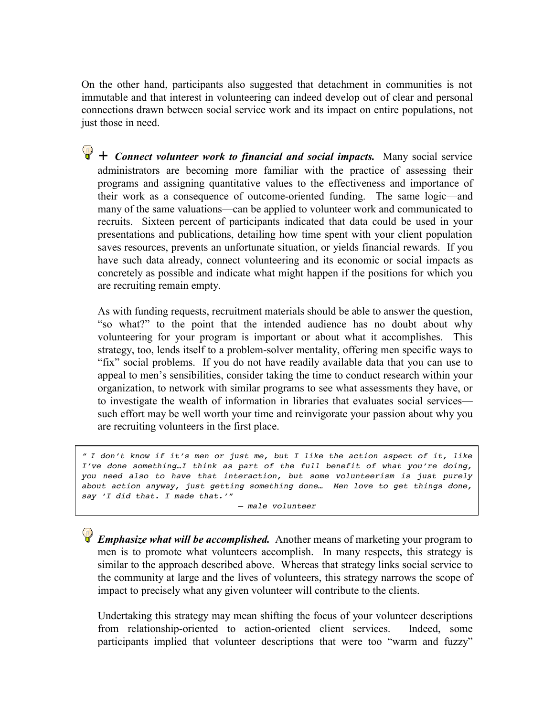On the other hand, participants also suggested that detachment in communities is not immutable and that interest in volunteering can indeed develop out of clear and personal connections drawn between social service work and its impact on entire populations, not just those in need.

 $\bigcirc$  + *Connect volunteer work to financial and social impacts.* Many social service administrators are becoming more familiar with the practice of assessing their programs and assigning quantitative values to the effectiveness and importance of their work as a consequence of outcome-oriented funding. The same logic—and many of the same valuations—can be applied to volunteer work and communicated to recruits. Sixteen percent of participants indicated that data could be used in your presentations and publications, detailing how time spent with your client population saves resources, prevents an unfortunate situation, or yields financial rewards. If you have such data already, connect volunteering and its economic or social impacts as concretely as possible and indicate what might happen if the positions for which you are recruiting remain empty.

As with funding requests, recruitment materials should be able to answer the question, "so what?" to the point that the intended audience has no doubt about why volunteering for your program is important or about what it accomplishes. This strategy, too, lends itself to a problem-solver mentality, offering men specific ways to "fix" social problems. If you do not have readily available data that you can use to appeal to men's sensibilities, consider taking the time to conduct research within your organization, to network with similar programs to see what assessments they have, or to investigate the wealth of information in libraries that evaluates social services such effort may be well worth your time and reinvigorate your passion about why you are recruiting volunteers in the first place.

*" I don't know if it's men or just me, but I like the action aspect of it, like I've done something…I think as part of the full benefit of what you're doing, you need also to have that interaction, but some volunteerism is just purely about action anyway, just getting something done… Men love to get things done, say 'I did that. I made that.'"*

*– male volunteer*

*Emphasize what will be accomplished.* Another means of marketing your program to men is to promote what volunteers accomplish. In many respects, this strategy is similar to the approach described above. Whereas that strategy links social service to the community at large and the lives of volunteers, this strategy narrows the scope of impact to precisely what any given volunteer will contribute to the clients.

Undertaking this strategy may mean shifting the focus of your volunteer descriptions from relationship-oriented to action-oriented client services. Indeed, some participants implied that volunteer descriptions that were too "warm and fuzzy"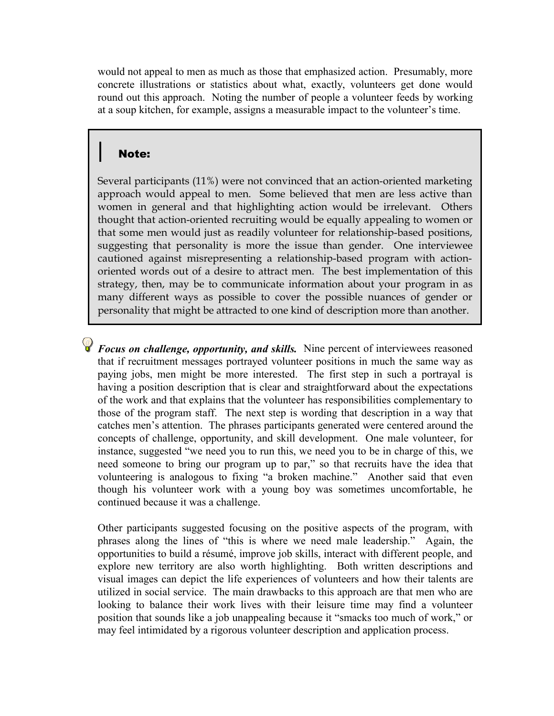would not appeal to men as much as those that emphasized action. Presumably, more concrete illustrations or statistics about what, exactly, volunteers get done would round out this approach. Noting the number of people a volunteer feeds by working at a soup kitchen, for example, assigns a measurable impact to the volunteer's time.

## **Note:**

Several participants (11%) were not convinced that an action-oriented marketing approach would appeal to men. Some believed that men are less active than women in general and that highlighting action would be irrelevant. Others thought that action-oriented recruiting would be equally appealing to women or that some men would just as readily volunteer for relationship-based positions, suggesting that personality is more the issue than gender. One interviewee cautioned against misrepresenting a relationship-based program with actionoriented words out of a desire to attract men. The best implementation of this strategy, then, may be to communicate information about your program in as many different ways as possible to cover the possible nuances of gender or personality that might be attracted to one kind of description more than another.

*Focus on challenge, opportunity, and skills.* Nine percent of interviewees reasoned that if recruitment messages portrayed volunteer positions in much the same way as paying jobs, men might be more interested. The first step in such a portrayal is having a position description that is clear and straightforward about the expectations of the work and that explains that the volunteer has responsibilities complementary to those of the program staff. The next step is wording that description in a way that catches men's attention. The phrases participants generated were centered around the concepts of challenge, opportunity, and skill development. One male volunteer, for instance, suggested "we need you to run this, we need you to be in charge of this, we need someone to bring our program up to par," so that recruits have the idea that volunteering is analogous to fixing "a broken machine." Another said that even though his volunteer work with a young boy was sometimes uncomfortable, he continued because it was a challenge.

Other participants suggested focusing on the positive aspects of the program, with phrases along the lines of "this is where we need male leadership." Again, the opportunities to build a résumé, improve job skills, interact with different people, and explore new territory are also worth highlighting. Both written descriptions and visual images can depict the life experiences of volunteers and how their talents are utilized in social service. The main drawbacks to this approach are that men who are looking to balance their work lives with their leisure time may find a volunteer position that sounds like a job unappealing because it "smacks too much of work," or may feel intimidated by a rigorous volunteer description and application process.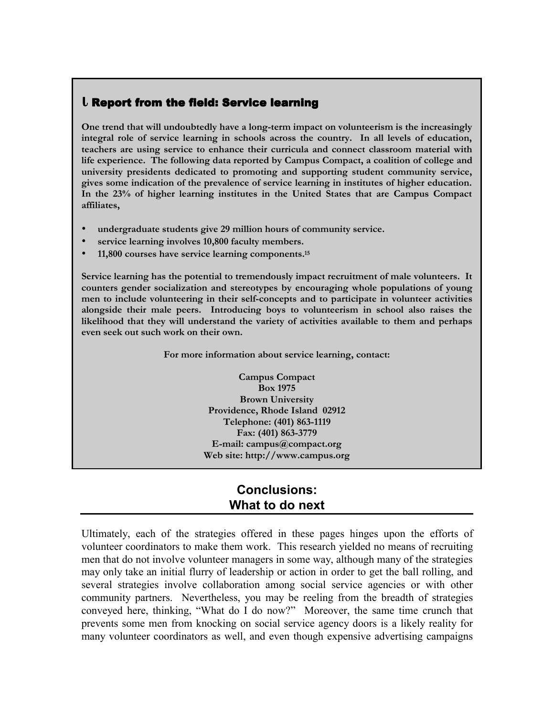#### ${\sf l}$  Report from the field: Service learning

**One trend that will undoubtedly have a long-term impact on volunteerism is the increasingly integral role of service learning in schools across the country. In all levels of education, teachers are using service to enhance their curricula and connect classroom material with life experience. The following data reported by Campus Compact, a coalition of college and university presidents dedicated to promoting and supporting student community service, gives some indication of the prevalence of service learning in institutes of higher education. In the 23% of higher learning institutes in the United States that are Campus Compact affiliates,**

- **undergraduate students give 29 million hours of community service.**
- service learning involves 10,800 faculty members.
- **11,800 courses have service learning components.15**

**Service learning has the potential to tremendously impact recruitment of male volunteers. It counters gender socialization and stereotypes by encouraging whole populations of young men to include volunteering in their self-concepts and to participate in volunteer activities alongside their male peers. Introducing boys to volunteerism in school also raises the likelihood that they will understand the variety of activities available to them and perhaps even seek out such work on their own.**

**For more information about service learning, contact:**

**Campus Compact Box 1975 Brown University Providence, Rhode Island 02912 Telephone: (401) 863-1119 Fax: (401) 863-3779 E-mail: campus@compact.org Web site: http://www.campus.org**

# **Conclusions: What to do next**

Ultimately, each of the strategies offered in these pages hinges upon the efforts of volunteer coordinators to make them work. This research yielded no means of recruiting men that do not involve volunteer managers in some way, although many of the strategies may only take an initial flurry of leadership or action in order to get the ball rolling, and several strategies involve collaboration among social service agencies or with other community partners. Nevertheless, you may be reeling from the breadth of strategies conveyed here, thinking, "What do I do now?" Moreover, the same time crunch that prevents some men from knocking on social service agency doors is a likely reality for many volunteer coordinators as well, and even though expensive advertising campaigns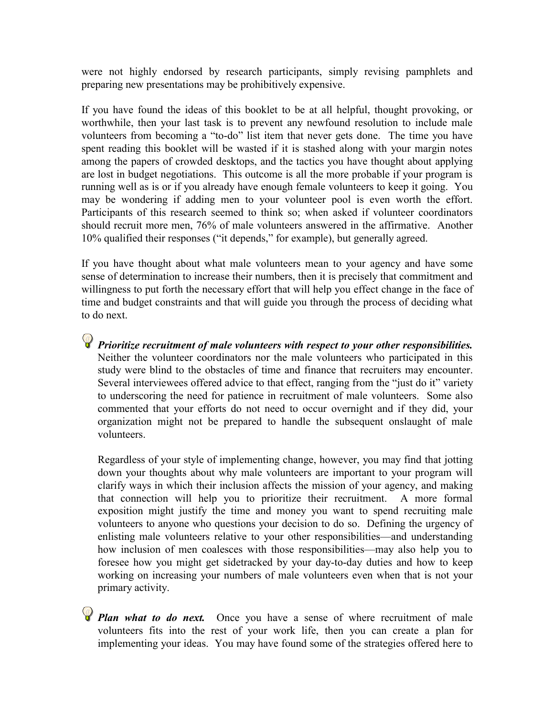were not highly endorsed by research participants, simply revising pamphlets and preparing new presentations may be prohibitively expensive.

If you have found the ideas of this booklet to be at all helpful, thought provoking, or worthwhile, then your last task is to prevent any newfound resolution to include male volunteers from becoming a "to-do" list item that never gets done. The time you have spent reading this booklet will be wasted if it is stashed along with your margin notes among the papers of crowded desktops, and the tactics you have thought about applying are lost in budget negotiations. This outcome is all the more probable if your program is running well as is or if you already have enough female volunteers to keep it going. You may be wondering if adding men to your volunteer pool is even worth the effort. Participants of this research seemed to think so; when asked if volunteer coordinators should recruit more men, 76% of male volunteers answered in the affirmative. Another 10% qualified their responses ("it depends," for example), but generally agreed.

If you have thought about what male volunteers mean to your agency and have some sense of determination to increase their numbers, then it is precisely that commitment and willingness to put forth the necessary effort that will help you effect change in the face of time and budget constraints and that will guide you through the process of deciding what to do next.

*Prioritize recruitment of male volunteers with respect to your other responsibilities.* Neither the volunteer coordinators nor the male volunteers who participated in this study were blind to the obstacles of time and finance that recruiters may encounter. Several interviewees offered advice to that effect, ranging from the "just do it" variety to underscoring the need for patience in recruitment of male volunteers. Some also commented that your efforts do not need to occur overnight and if they did, your organization might not be prepared to handle the subsequent onslaught of male volunteers.

Regardless of your style of implementing change, however, you may find that jotting down your thoughts about why male volunteers are important to your program will clarify ways in which their inclusion affects the mission of your agency, and making that connection will help you to prioritize their recruitment. A more formal exposition might justify the time and money you want to spend recruiting male volunteers to anyone who questions your decision to do so. Defining the urgency of enlisting male volunteers relative to your other responsibilities—and understanding how inclusion of men coalesces with those responsibilities—may also help you to foresee how you might get sidetracked by your day-to-day duties and how to keep working on increasing your numbers of male volunteers even when that is not your primary activity.

**P** Plan what to do next. Once you have a sense of where recruitment of male volunteers fits into the rest of your work life, then you can create a plan for implementing your ideas. You may have found some of the strategies offered here to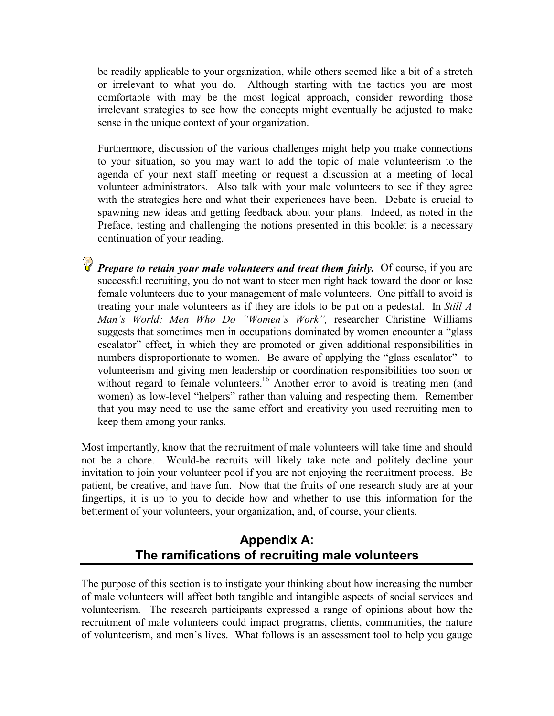be readily applicable to your organization, while others seemed like a bit of a stretch or irrelevant to what you do. Although starting with the tactics you are most comfortable with may be the most logical approach, consider rewording those irrelevant strategies to see how the concepts might eventually be adjusted to make sense in the unique context of your organization.

Furthermore, discussion of the various challenges might help you make connections to your situation, so you may want to add the topic of male volunteerism to the agenda of your next staff meeting or request a discussion at a meeting of local volunteer administrators. Also talk with your male volunteers to see if they agree with the strategies here and what their experiences have been. Debate is crucial to spawning new ideas and getting feedback about your plans. Indeed, as noted in the Preface, testing and challenging the notions presented in this booklet is a necessary continuation of your reading.

**P** Prepare to retain your male volunteers and treat them fairly. Of course, if you are successful recruiting, you do not want to steer men right back toward the door or lose female volunteers due to your management of male volunteers. One pitfall to avoid is treating your male volunteers as if they are idols to be put on a pedestal. In *Still A Man's World: Men Who Do "Women's Work",* researcher Christine Williams suggests that sometimes men in occupations dominated by women encounter a "glass escalator" effect, in which they are promoted or given additional responsibilities in numbers disproportionate to women. Be aware of applying the "glass escalator" to volunteerism and giving men leadership or coordination responsibilities too soon or without regard to female volunteers.<sup>16</sup> Another error to avoid is treating men (and women) as low-level "helpers" rather than valuing and respecting them. Remember that you may need to use the same effort and creativity you used recruiting men to keep them among your ranks.

Most importantly, know that the recruitment of male volunteers will take time and should not be a chore. Would-be recruits will likely take note and politely decline your invitation to join your volunteer pool if you are not enjoying the recruitment process. Be patient, be creative, and have fun. Now that the fruits of one research study are at your fingertips, it is up to you to decide how and whether to use this information for the betterment of your volunteers, your organization, and, of course, your clients.

# **Appendix A: The ramifications of recruiting male volunteers**

The purpose of this section is to instigate your thinking about how increasing the number of male volunteers will affect both tangible and intangible aspects of social services and volunteerism. The research participants expressed a range of opinions about how the recruitment of male volunteers could impact programs, clients, communities, the nature of volunteerism, and men's lives. What follows is an assessment tool to help you gauge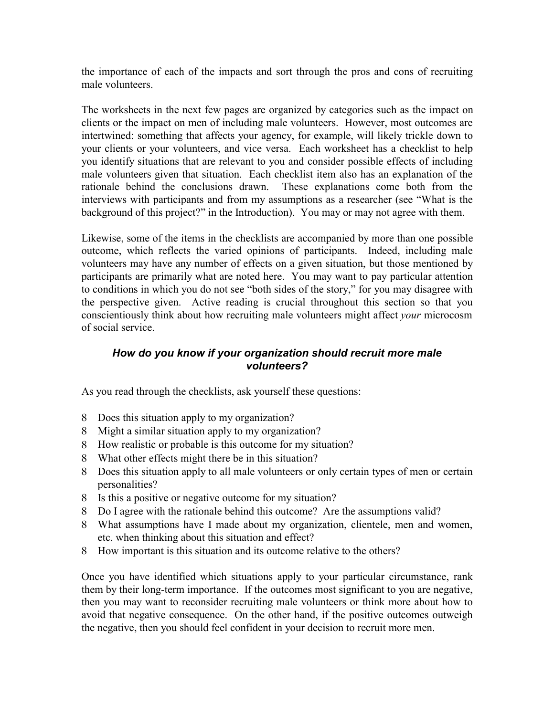the importance of each of the impacts and sort through the pros and cons of recruiting male volunteers.

The worksheets in the next few pages are organized by categories such as the impact on clients or the impact on men of including male volunteers. However, most outcomes are intertwined: something that affects your agency, for example, will likely trickle down to your clients or your volunteers, and vice versa. Each worksheet has a checklist to help you identify situations that are relevant to you and consider possible effects of including male volunteers given that situation. Each checklist item also has an explanation of the rationale behind the conclusions drawn. These explanations come both from the interviews with participants and from my assumptions as a researcher (see "What is the background of this project?" in the Introduction). You may or may not agree with them.

Likewise, some of the items in the checklists are accompanied by more than one possible outcome, which reflects the varied opinions of participants. Indeed, including male volunteers may have any number of effects on a given situation, but those mentioned by participants are primarily what are noted here. You may want to pay particular attention to conditions in which you do not see "both sides of the story," for you may disagree with the perspective given. Active reading is crucial throughout this section so that you conscientiously think about how recruiting male volunteers might affect *your* microcosm of social service.

#### *How do you know if your organization should recruit more male volunteers?*

As you read through the checklists, ask yourself these questions:

- 8 Does this situation apply to my organization?
- 8 Might a similar situation apply to my organization?
- 8 How realistic or probable is this outcome for my situation?
- 8 What other effects might there be in this situation?
- 8 Does this situation apply to all male volunteers or only certain types of men or certain personalities?
- 8 Is this a positive or negative outcome for my situation?
- 8 Do I agree with the rationale behind this outcome? Are the assumptions valid?
- 8 What assumptions have I made about my organization, clientele, men and women, etc. when thinking about this situation and effect?
- 8 How important is this situation and its outcome relative to the others?

Once you have identified which situations apply to your particular circumstance, rank them by their long-term importance. If the outcomes most significant to you are negative, then you may want to reconsider recruiting male volunteers or think more about how to avoid that negative consequence. On the other hand, if the positive outcomes outweigh the negative, then you should feel confident in your decision to recruit more men.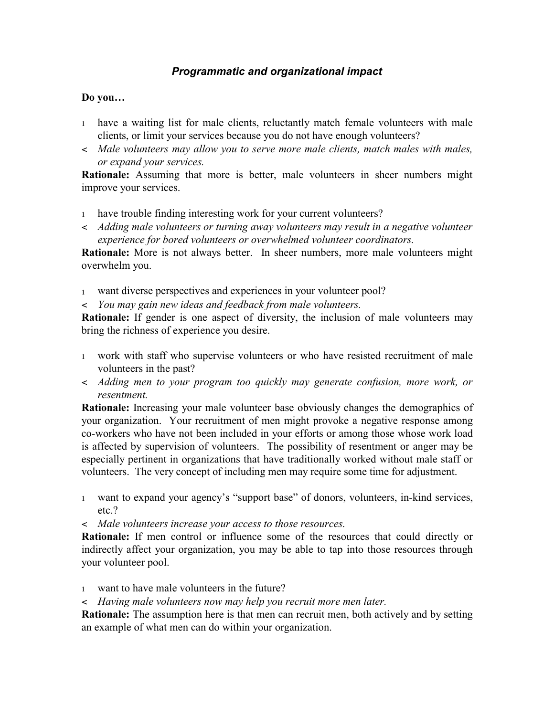## *Programmatic and organizational impact*

#### **Do you…**

- <sup>1</sup> have a waiting list for male clients, reluctantly match female volunteers with male clients, or limit your services because you do not have enough volunteers?
- < *Male volunteers may allow you to serve more male clients, match males with males, or expand your services.*

**Rationale:** Assuming that more is better, male volunteers in sheer numbers might improve your services.

- 1 have trouble finding interesting work for your current volunteers?
- < *Adding male volunteers or turning away volunteers may result in a negative volunteer experience for bored volunteers or overwhelmed volunteer coordinators.*

**Rationale:** More is not always better. In sheer numbers, more male volunteers might overwhelm you.

- <sup>1</sup> want diverse perspectives and experiences in your volunteer pool?
- < *You may gain new ideas and feedback from male volunteers.*

**Rationale:** If gender is one aspect of diversity, the inclusion of male volunteers may bring the richness of experience you desire.

- <sup>1</sup> work with staff who supervise volunteers or who have resisted recruitment of male volunteers in the past?
- < *Adding men to your program too quickly may generate confusion, more work, or resentment.*

**Rationale:** Increasing your male volunteer base obviously changes the demographics of your organization. Your recruitment of men might provoke a negative response among co-workers who have not been included in your efforts or among those whose work load is affected by supervision of volunteers. The possibility of resentment or anger may be especially pertinent in organizations that have traditionally worked without male staff or volunteers. The very concept of including men may require some time for adjustment.

- <sup>1</sup> want to expand your agency's "support base" of donors, volunteers, in-kind services, etc.?
- < *Male volunteers increase your access to those resources.*

**Rationale:** If men control or influence some of the resources that could directly or indirectly affect your organization, you may be able to tap into those resources through your volunteer pool.

- <sup>1</sup> want to have male volunteers in the future?
- < *Having male volunteers now may help you recruit more men later.*

**Rationale:** The assumption here is that men can recruit men, both actively and by setting an example of what men can do within your organization.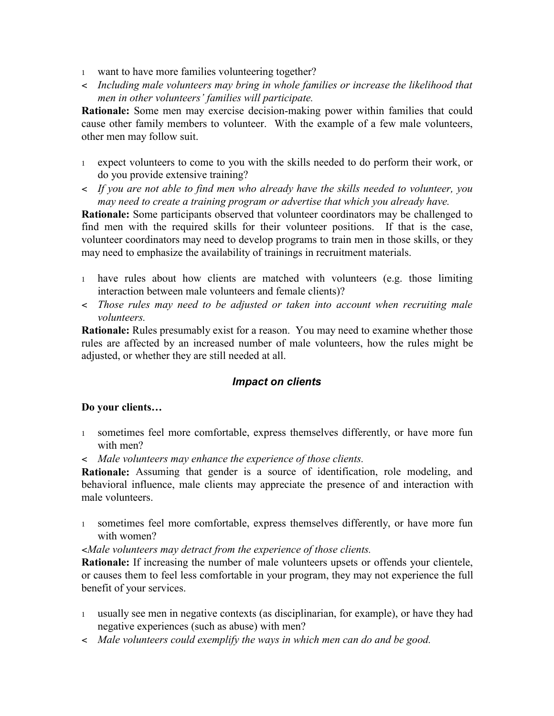- <sup>1</sup> want to have more families volunteering together?
- < *Including male volunteers may bring in whole families or increase the likelihood that men in other volunteers' families will participate.*

**Rationale:** Some men may exercise decision-making power within families that could cause other family members to volunteer. With the example of a few male volunteers, other men may follow suit.

- <sup>1</sup> expect volunteers to come to you with the skills needed to do perform their work, or do you provide extensive training?
- < *If you are not able to find men who already have the skills needed to volunteer, you may need to create a training program or advertise that which you already have.*

**Rationale:** Some participants observed that volunteer coordinators may be challenged to find men with the required skills for their volunteer positions. If that is the case, volunteer coordinators may need to develop programs to train men in those skills, or they may need to emphasize the availability of trainings in recruitment materials.

- <sup>1</sup> have rules about how clients are matched with volunteers (e.g. those limiting interaction between male volunteers and female clients)?
- < *Those rules may need to be adjusted or taken into account when recruiting male volunteers.*

**Rationale:** Rules presumably exist for a reason. You may need to examine whether those rules are affected by an increased number of male volunteers, how the rules might be adjusted, or whether they are still needed at all.

#### *Impact on clients*

#### **Do your clients…**

- <sup>1</sup> sometimes feel more comfortable, express themselves differently, or have more fun with men?
- < *Male volunteers may enhance the experience of those clients.*

**Rationale:** Assuming that gender is a source of identification, role modeling, and behavioral influence, male clients may appreciate the presence of and interaction with male volunteers.

<sup>1</sup> sometimes feel more comfortable, express themselves differently, or have more fun with women?

#### <*Male volunteers may detract from the experience of those clients.*

**Rationale:** If increasing the number of male volunteers upsets or offends your clientele, or causes them to feel less comfortable in your program, they may not experience the full benefit of your services.

- <sup>1</sup> usually see men in negative contexts (as disciplinarian, for example), or have they had negative experiences (such as abuse) with men?
- < *Male volunteers could exemplify the ways in which men can do and be good.*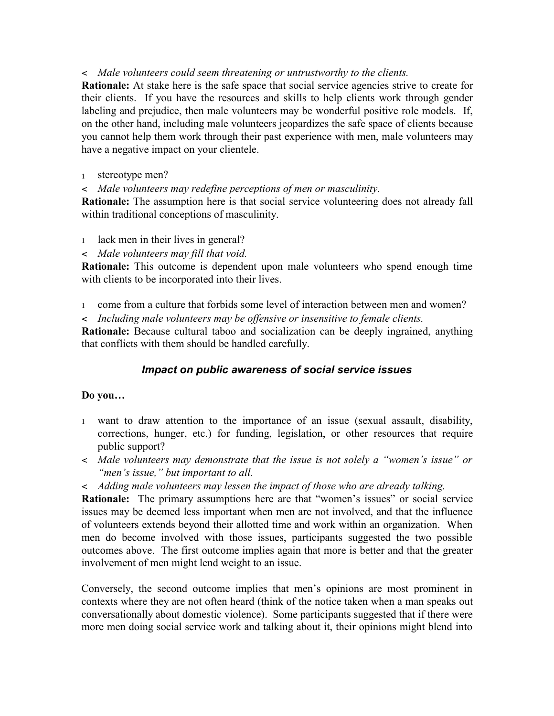#### < *Male volunteers could seem threatening or untrustworthy to the clients.*

**Rationale:** At stake here is the safe space that social service agencies strive to create for their clients. If you have the resources and skills to help clients work through gender labeling and prejudice, then male volunteers may be wonderful positive role models. If, on the other hand, including male volunteers jeopardizes the safe space of clients because you cannot help them work through their past experience with men, male volunteers may have a negative impact on your clientele.

<sup>1</sup> stereotype men?

< *Male volunteers may redefine perceptions of men or masculinity.*

**Rationale:** The assumption here is that social service volunteering does not already fall within traditional conceptions of masculinity.

<sup>1</sup> lack men in their lives in general?

< *Male volunteers may fill that void.*

**Rationale:** This outcome is dependent upon male volunteers who spend enough time with clients to be incorporated into their lives.

<sup>1</sup> come from a culture that forbids some level of interaction between men and women?

< *Including male volunteers may be offensive or insensitive to female clients.*

**Rationale:** Because cultural taboo and socialization can be deeply ingrained, anything that conflicts with them should be handled carefully.

#### *Impact on public awareness of social service issues*

#### **Do you…**

- <sup>1</sup> want to draw attention to the importance of an issue (sexual assault, disability, corrections, hunger, etc.) for funding, legislation, or other resources that require public support?
- < *Male volunteers may demonstrate that the issue is not solely a "women's issue" or "men's issue," but important to all.*
- < *Adding male volunteers may lessen the impact of those who are already talking.*

**Rationale:** The primary assumptions here are that "women's issues" or social service issues may be deemed less important when men are not involved, and that the influence of volunteers extends beyond their allotted time and work within an organization. When men do become involved with those issues, participants suggested the two possible outcomes above. The first outcome implies again that more is better and that the greater involvement of men might lend weight to an issue.

Conversely, the second outcome implies that men's opinions are most prominent in contexts where they are not often heard (think of the notice taken when a man speaks out conversationally about domestic violence). Some participants suggested that if there were more men doing social service work and talking about it, their opinions might blend into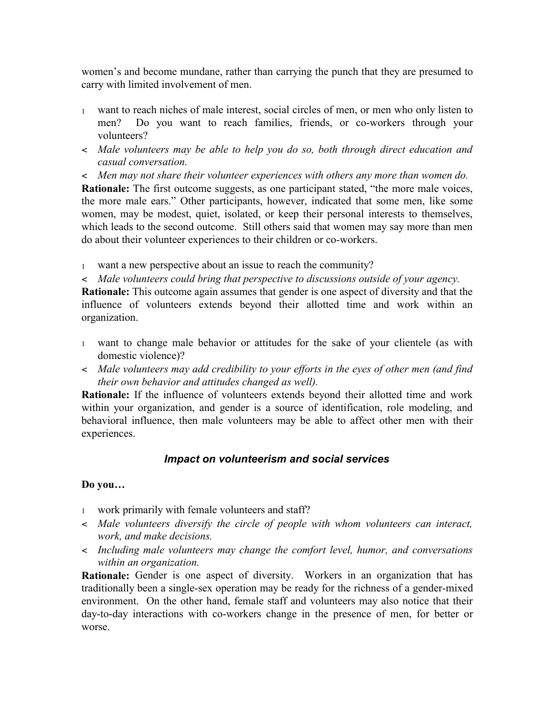women's and become mundane, rather than carrying the punch that they are presumed to carry with limited involvement of men.

- <sup>1</sup> want to reach niches of male interest, social circles of men, or men who only listen to men? Do you want to reach families, friends, or co-workers through your volunteers?
- < *Male volunteers may be able to help you do so, both through direct education and casual conversation.*
- < *Men may not share their volunteer experiences with others any more than women do.*

**Rationale:** The first outcome suggests, as one participant stated, "the more male voices, the more male ears." Other participants, however, indicated that some men, like some women, may be modest, quiet, isolated, or keep their personal interests to themselves, which leads to the second outcome. Still others said that women may say more than men do about their volunteer experiences to their children or co-workers.

<sup>1</sup> want a new perspective about an issue to reach the community?

< *Male volunteers could bring that perspective to discussions outside of your agency.*

**Rationale:** This outcome again assumes that gender is one aspect of diversity and that the influence of volunteers extends beyond their allotted time and work within an organization.

- <sup>1</sup> want to change male behavior or attitudes for the sake of your clientele (as with domestic violence)?
- < *Male volunteers may add credibility to your efforts in the eyes of other men (and find their own behavior and attitudes changed as well).*

**Rationale:** If the influence of volunteers extends beyond their allotted time and work within your organization, and gender is a source of identification, role modeling, and behavioral influence, then male volunteers may be able to affect other men with their experiences.

#### *Impact on volunteerism and social services*

#### **Do you…**

- <sup>1</sup> work primarily with female volunteers and staff?
- < *Male volunteers diversify the circle of people with whom volunteers can interact, work, and make decisions.*
- < *Including male volunteers may change the comfort level, humor, and conversations within an organization.*

**Rationale:** Gender is one aspect of diversity. Workers in an organization that has traditionally been a single-sex operation may be ready for the richness of a gender-mixed environment. On the other hand, female staff and volunteers may also notice that their day-to-day interactions with co-workers change in the presence of men, for better or worse.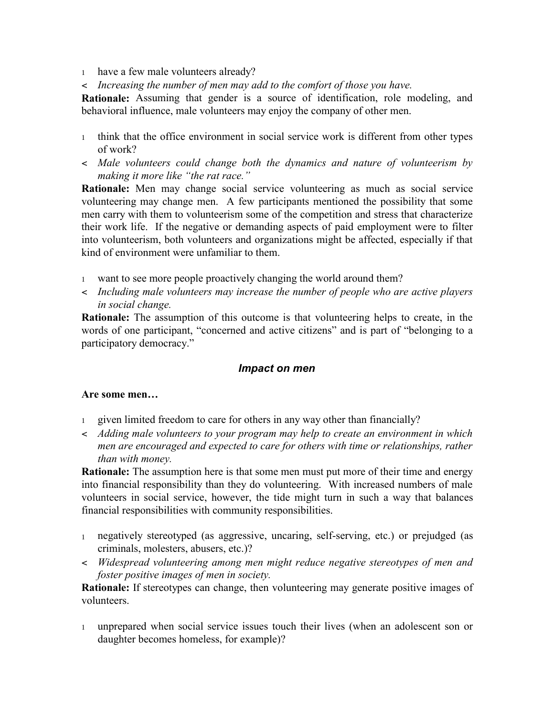- <sup>1</sup> have a few male volunteers already?
- < *Increasing the number of men may add to the comfort of those you have.*

**Rationale:** Assuming that gender is a source of identification, role modeling, and behavioral influence, male volunteers may enjoy the company of other men.

- <sup>1</sup> think that the office environment in social service work is different from other types of work?
- < *Male volunteers could change both the dynamics and nature of volunteerism by making it more like "the rat race."*

**Rationale:** Men may change social service volunteering as much as social service volunteering may change men. A few participants mentioned the possibility that some men carry with them to volunteerism some of the competition and stress that characterize their work life. If the negative or demanding aspects of paid employment were to filter into volunteerism, both volunteers and organizations might be affected, especially if that kind of environment were unfamiliar to them.

- <sup>1</sup> want to see more people proactively changing the world around them?
- < *Including male volunteers may increase the number of people who are active players in social change.*

**Rationale:** The assumption of this outcome is that volunteering helps to create, in the words of one participant, "concerned and active citizens" and is part of "belonging to a participatory democracy."

#### *Impact on men*

#### **Are some men…**

- <sup>1</sup> given limited freedom to care for others in any way other than financially?
- < *Adding male volunteers to your program may help to create an environment in which men are encouraged and expected to care for others with time or relationships, rather than with money.*

**Rationale:** The assumption here is that some men must put more of their time and energy into financial responsibility than they do volunteering. With increased numbers of male volunteers in social service, however, the tide might turn in such a way that balances financial responsibilities with community responsibilities.

- <sup>1</sup> negatively stereotyped (as aggressive, uncaring, self-serving, etc.) or prejudged (as criminals, molesters, abusers, etc.)?
- < *Widespread volunteering among men might reduce negative stereotypes of men and foster positive images of men in society.*

**Rationale:** If stereotypes can change, then volunteering may generate positive images of volunteers.

<sup>1</sup> unprepared when social service issues touch their lives (when an adolescent son or daughter becomes homeless, for example)?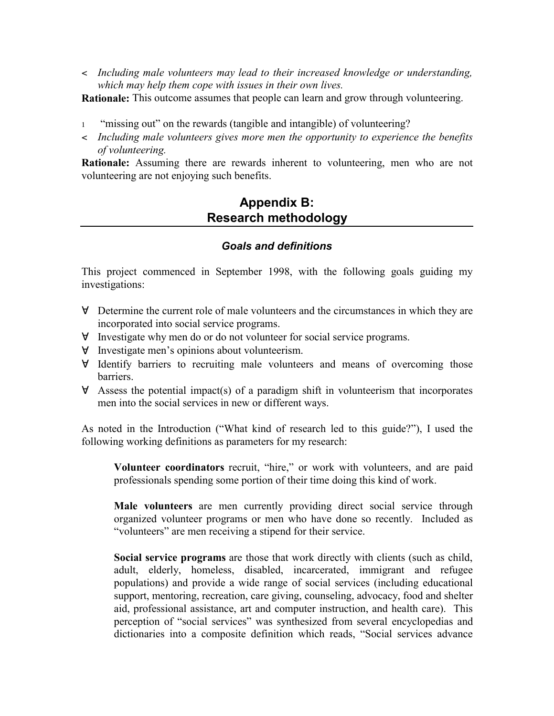< *Including male volunteers may lead to their increased knowledge or understanding, which may help them cope with issues in their own lives.*

**Rationale:** This outcome assumes that people can learn and grow through volunteering.

- <sup>1</sup> "missing out" on the rewards (tangible and intangible) of volunteering?
- < *Including male volunteers gives more men the opportunity to experience the benefits of volunteering.*

**Rationale:** Assuming there are rewards inherent to volunteering, men who are not volunteering are not enjoying such benefits.

# **Appendix B: Research methodology**

#### *Goals and definitions*

This project commenced in September 1998, with the following goals guiding my investigations:

- " Determine the current role of male volunteers and the circumstances in which they are incorporated into social service programs.
- $\forall$  Investigate why men do or do not volunteer for social service programs.
- $\forall$  Investigate men's opinions about volunteerism.
- $\forall$  Identify barriers to recruiting male volunteers and means of overcoming those barriers.
- $\forall$  Assess the potential impact(s) of a paradigm shift in volunteerism that incorporates men into the social services in new or different ways.

As noted in the Introduction ("What kind of research led to this guide?"), I used the following working definitions as parameters for my research:

**Volunteer coordinators** recruit, "hire," or work with volunteers, and are paid professionals spending some portion of their time doing this kind of work.

**Male volunteers** are men currently providing direct social service through organized volunteer programs or men who have done so recently. Included as "volunteers" are men receiving a stipend for their service.

**Social service programs** are those that work directly with clients (such as child, adult, elderly, homeless, disabled, incarcerated, immigrant and refugee populations) and provide a wide range of social services (including educational support, mentoring, recreation, care giving, counseling, advocacy, food and shelter aid, professional assistance, art and computer instruction, and health care). This perception of "social services" was synthesized from several encyclopedias and dictionaries into a composite definition which reads, "Social services advance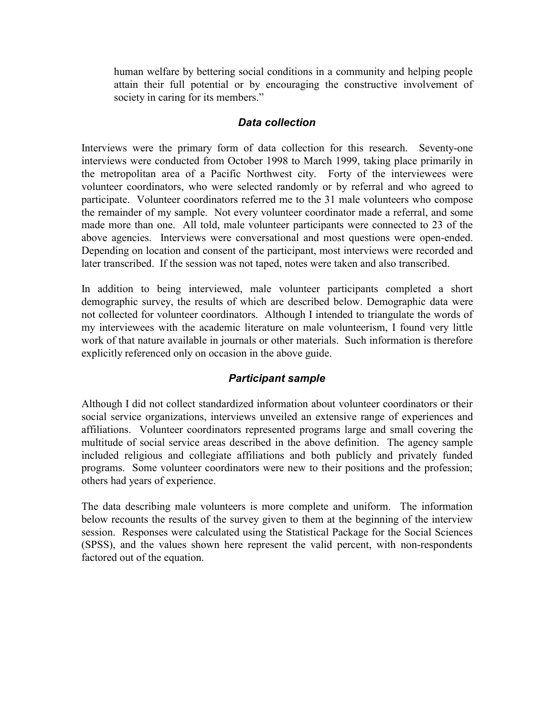human welfare by bettering social conditions in a community and helping people attain their full potential or by encouraging the constructive involvement of society in caring for its members."

#### *Data collection*

Interviews were the primary form of data collection for this research. Seventy-one interviews were conducted from October 1998 to March 1999, taking place primarily in the metropolitan area of a Pacific Northwest city. Forty of the interviewees were volunteer coordinators, who were selected randomly or by referral and who agreed to participate. Volunteer coordinators referred me to the 31 male volunteers who compose the remainder of my sample. Not every volunteer coordinator made a referral, and some made more than one. All told, male volunteer participants were connected to 23 of the above agencies. Interviews were conversational and most questions were open-ended. Depending on location and consent of the participant, most interviews were recorded and later transcribed. If the session was not taped, notes were taken and also transcribed.

In addition to being interviewed, male volunteer participants completed a short demographic survey, the results of which are described below. Demographic data were not collected for volunteer coordinators. Although I intended to triangulate the words of my interviewees with the academic literature on male volunteerism, I found very little work of that nature available in journals or other materials. Such information is therefore explicitly referenced only on occasion in the above guide.

## *Participant sample*

Although I did not collect standardized information about volunteer coordinators or their social service organizations, interviews unveiled an extensive range of experiences and affiliations. Volunteer coordinators represented programs large and small covering the multitude of social service areas described in the above definition. The agency sample included religious and collegiate affiliations and both publicly and privately funded programs. Some volunteer coordinators were new to their positions and the profession; others had years of experience.

The data describing male volunteers is more complete and uniform. The information below recounts the results of the survey given to them at the beginning of the interview session. Responses were calculated using the Statistical Package for the Social Sciences (SPSS), and the values shown here represent the valid percent, with non-respondents factored out of the equation.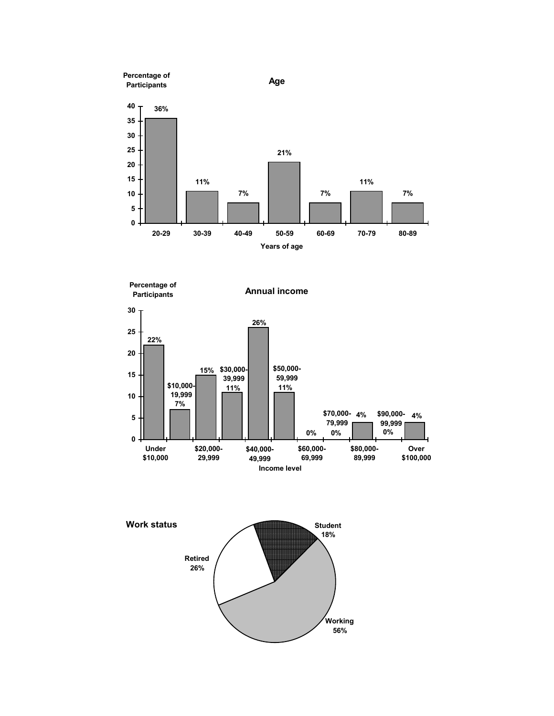



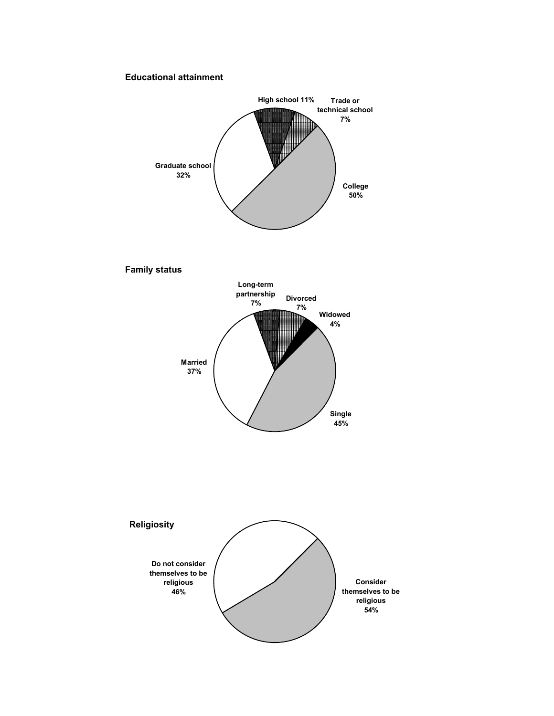#### **Educational attainment**

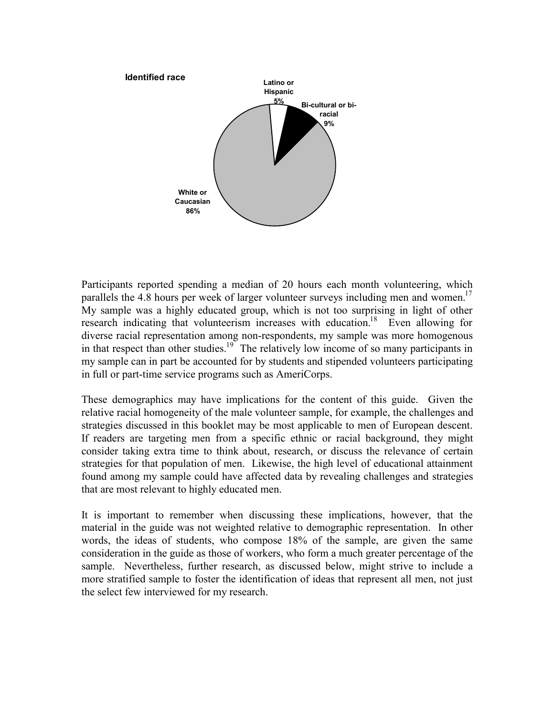

Participants reported spending a median of 20 hours each month volunteering, which parallels the 4.8 hours per week of larger volunteer surveys including men and women.<sup>17</sup> My sample was a highly educated group, which is not too surprising in light of other research indicating that volunteerism increases with education.<sup>18</sup> Even allowing for diverse racial representation among non-respondents, my sample was more homogenous in that respect than other studies.<sup>19</sup> The relatively low income of so many participants in my sample can in part be accounted for by students and stipended volunteers participating in full or part-time service programs such as AmeriCorps.

These demographics may have implications for the content of this guide. Given the relative racial homogeneity of the male volunteer sample, for example, the challenges and strategies discussed in this booklet may be most applicable to men of European descent. If readers are targeting men from a specific ethnic or racial background, they might consider taking extra time to think about, research, or discuss the relevance of certain strategies for that population of men. Likewise, the high level of educational attainment found among my sample could have affected data by revealing challenges and strategies that are most relevant to highly educated men.

It is important to remember when discussing these implications, however, that the material in the guide was not weighted relative to demographic representation. In other words, the ideas of students, who compose 18% of the sample, are given the same consideration in the guide as those of workers, who form a much greater percentage of the sample. Nevertheless, further research, as discussed below, might strive to include a more stratified sample to foster the identification of ideas that represent all men, not just the select few interviewed for my research.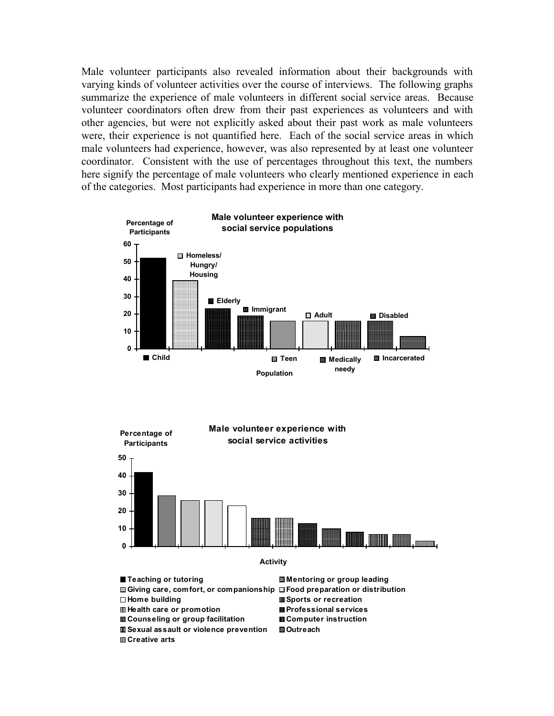Male volunteer participants also revealed information about their backgrounds with varying kinds of volunteer activities over the course of interviews. The following graphs summarize the experience of male volunteers in different social service areas. Because volunteer coordinators often drew from their past experiences as volunteers and with other agencies, but were not explicitly asked about their past work as male volunteers were, their experience is not quantified here. Each of the social service areas in which male volunteers had experience, however, was also represented by at least one volunteer coordinator. Consistent with the use of percentages throughout this text, the numbers here signify the percentage of male volunteers who clearly mentioned experience in each of the categories. Most participants had experience in more than one category.





■ Teaching or tutoring **Mentoring or group leading** 

**<u>■ Sexual assault or violence prevention</u>** ■ Outreach **Creative arts**

**Giving care, comfort, or companionship Food preparation or distribution Home building Sports or recreation Health care or promotion Professional services Counseling or group facilitation Computer instruction**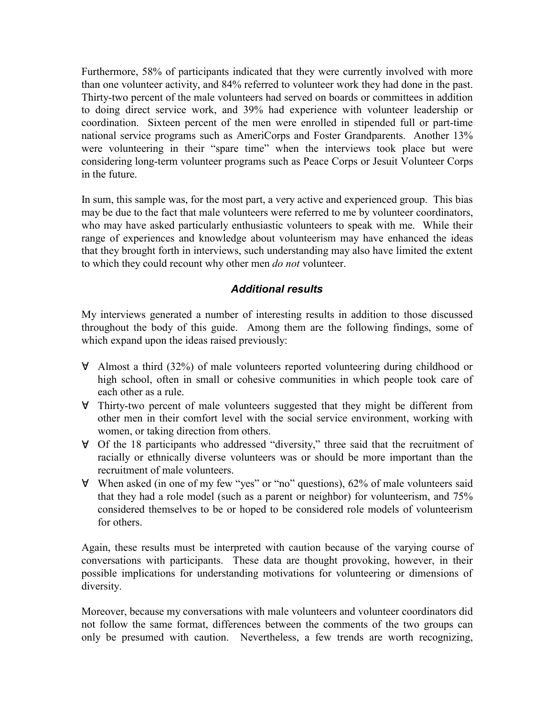Furthermore, 58% of participants indicated that they were currently involved with more than one volunteer activity, and 84% referred to volunteer work they had done in the past. Thirty-two percent of the male volunteers had served on boards or committees in addition to doing direct service work, and 39% had experience with volunteer leadership or coordination. Sixteen percent of the men were enrolled in stipended full or part-time national service programs such as AmeriCorps and Foster Grandparents. Another 13% were volunteering in their "spare time" when the interviews took place but were considering long-term volunteer programs such as Peace Corps or Jesuit Volunteer Corps in the future.

In sum, this sample was, for the most part, a very active and experienced group. This bias may be due to the fact that male volunteers were referred to me by volunteer coordinators, who may have asked particularly enthusiastic volunteers to speak with me. While their range of experiences and knowledge about volunteerism may have enhanced the ideas that they brought forth in interviews, such understanding may also have limited the extent to which they could recount why other men *do not* volunteer.

## *Additional results*

My interviews generated a number of interesting results in addition to those discussed throughout the body of this guide. Among them are the following findings, some of which expand upon the ideas raised previously:

- $\forall$  Almost a third (32%) of male volunteers reported volunteering during childhood or high school, often in small or cohesive communities in which people took care of each other as a rule.
- $\forall$  Thirty-two percent of male volunteers suggested that they might be different from other men in their comfort level with the social service environment, working with women, or taking direction from others.
- $\forall$  Of the 18 participants who addressed "diversity," three said that the recruitment of racially or ethnically diverse volunteers was or should be more important than the recruitment of male volunteers.
- $\forall$  When asked (in one of my few "yes" or "no" questions), 62% of male volunteers said that they had a role model (such as a parent or neighbor) for volunteerism, and 75% considered themselves to be or hoped to be considered role models of volunteerism for others.

Again, these results must be interpreted with caution because of the varying course of conversations with participants. These data are thought provoking, however, in their possible implications for understanding motivations for volunteering or dimensions of diversity.

Moreover, because my conversations with male volunteers and volunteer coordinators did not follow the same format, differences between the comments of the two groups can only be presumed with caution. Nevertheless, a few trends are worth recognizing,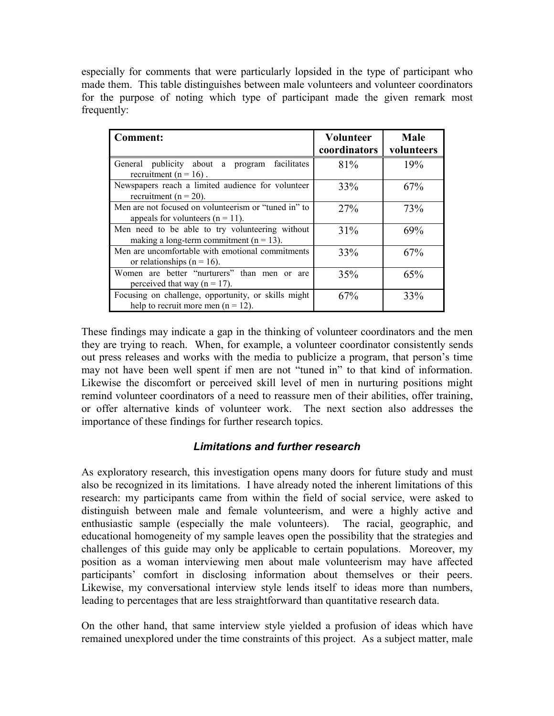especially for comments that were particularly lopsided in the type of participant who made them. This table distinguishes between male volunteers and volunteer coordinators for the purpose of noting which type of participant made the given remark most frequently:

| <b>Comment:</b>                                                                                | <b>Volunteer</b><br>coordinators | <b>Male</b><br>volunteers |
|------------------------------------------------------------------------------------------------|----------------------------------|---------------------------|
| General publicity about a program facilitates<br>recruitment ( $n = 16$ ).                     | 81%                              | 19%                       |
| Newspapers reach a limited audience for volunteer<br>recruitment ( $n = 20$ ).                 | 33%                              | 67%                       |
| Men are not focused on volunteerism or "tuned in" to<br>appeals for volunteers $(n = 11)$ .    | 27%                              | 73%                       |
| Men need to be able to try volunteering without<br>making a long-term commitment ( $n = 13$ ). | 31%                              | 69%                       |
| Men are uncomfortable with emotional commitments<br>or relationships ( $n = 16$ ).             | 33%                              | 67%                       |
| Women are better "nurturers" than men or are<br>perceived that way ( $n = 17$ ).               | 35%                              | 65%                       |
| Focusing on challenge, opportunity, or skills might<br>help to recruit more men $(n = 12)$ .   | 67%                              | 33%                       |

These findings may indicate a gap in the thinking of volunteer coordinators and the men they are trying to reach. When, for example, a volunteer coordinator consistently sends out press releases and works with the media to publicize a program, that person's time may not have been well spent if men are not "tuned in" to that kind of information. Likewise the discomfort or perceived skill level of men in nurturing positions might remind volunteer coordinators of a need to reassure men of their abilities, offer training, or offer alternative kinds of volunteer work. The next section also addresses the importance of these findings for further research topics.

## *Limitations and further research*

As exploratory research, this investigation opens many doors for future study and must also be recognized in its limitations. I have already noted the inherent limitations of this research: my participants came from within the field of social service, were asked to distinguish between male and female volunteerism, and were a highly active and enthusiastic sample (especially the male volunteers). The racial, geographic, and educational homogeneity of my sample leaves open the possibility that the strategies and challenges of this guide may only be applicable to certain populations. Moreover, my position as a woman interviewing men about male volunteerism may have affected participants' comfort in disclosing information about themselves or their peers. Likewise, my conversational interview style lends itself to ideas more than numbers, leading to percentages that are less straightforward than quantitative research data.

On the other hand, that same interview style yielded a profusion of ideas which have remained unexplored under the time constraints of this project. As a subject matter, male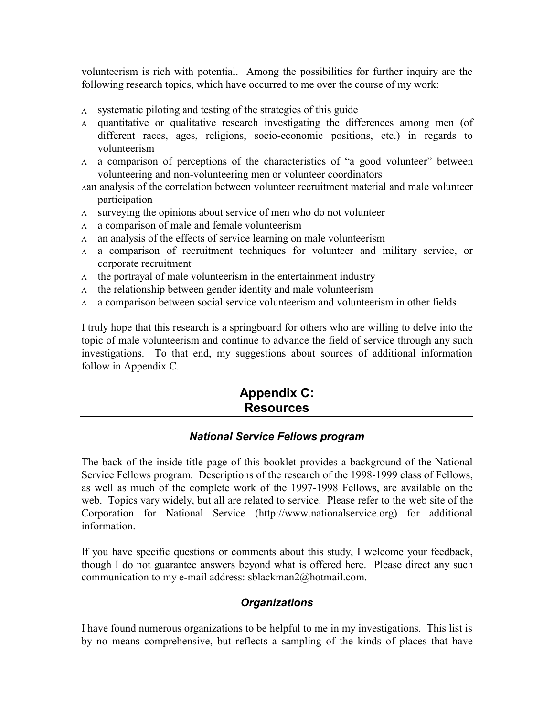volunteerism is rich with potential. Among the possibilities for further inquiry are the following research topics, which have occurred to me over the course of my work:

- & systematic piloting and testing of the strategies of this guide
- & quantitative or qualitative research investigating the differences among men (of different races, ages, religions, socio-economic positions, etc.) in regards to volunteerism
- & a comparison of perceptions of the characteristics of "a good volunteer" between volunteering and non-volunteering men or volunteer coordinators
- &an analysis of the correlation between volunteer recruitment material and male volunteer participation
- & surveying the opinions about service of men who do not volunteer
- & a comparison of male and female volunteerism
- & an analysis of the effects of service learning on male volunteerism
- & a comparison of recruitment techniques for volunteer and military service, or corporate recruitment
- & the portrayal of male volunteerism in the entertainment industry
- & the relationship between gender identity and male volunteerism
- & a comparison between social service volunteerism and volunteerism in other fields

I truly hope that this research is a springboard for others who are willing to delve into the topic of male volunteerism and continue to advance the field of service through any such investigations. To that end, my suggestions about sources of additional information follow in Appendix C.

# **Appendix C: Resources**

#### *National Service Fellows program*

The back of the inside title page of this booklet provides a background of the National Service Fellows program. Descriptions of the research of the 1998-1999 class of Fellows, as well as much of the complete work of the 1997-1998 Fellows, are available on the web. Topics vary widely, but all are related to service. Please refer to the web site of the Corporation for National Service (http://www.nationalservice.org) for additional information.

If you have specific questions or comments about this study, I welcome your feedback, though I do not guarantee answers beyond what is offered here. Please direct any such communication to my e-mail address: sblackman2@hotmail.com.

## *Organizations*

I have found numerous organizations to be helpful to me in my investigations. This list is by no means comprehensive, but reflects a sampling of the kinds of places that have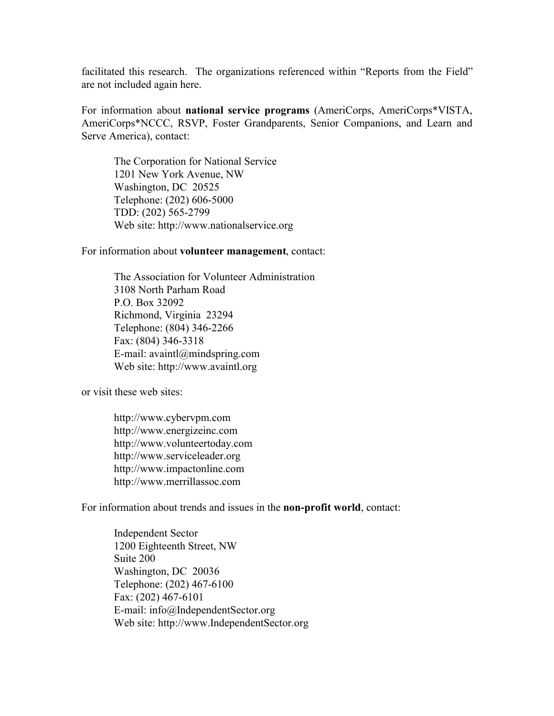facilitated this research. The organizations referenced within "Reports from the Field" are not included again here.

For information about **national service programs** (AmeriCorps, AmeriCorps\*VISTA, AmeriCorps\*NCCC, RSVP, Foster Grandparents, Senior Companions, and Learn and Serve America), contact:

The Corporation for National Service 1201 New York Avenue, NW Washington, DC 20525 Telephone: (202) 606-5000 TDD: (202) 565-2799 Web site: http://www.nationalservice.org

For information about **volunteer management**, contact:

The Association for Volunteer Administration 3108 North Parham Road P.O. Box 32092 Richmond, Virginia 23294 Telephone: (804) 346-2266 Fax: (804) 346-3318 E-mail: avaintl@mindspring.com Web site: http://www.avaintl.org

or visit these web sites:

http://www.cybervpm.com http://www.energizeinc.com http://www.volunteertoday.com http://www.serviceleader.org http://www.impactonline.com http://www.merrillassoc.com

For information about trends and issues in the **non-profit world**, contact:

Independent Sector 1200 Eighteenth Street, NW Suite 200 Washington, DC 20036 Telephone: (202) 467-6100 Fax: (202) 467-6101 E-mail: info@IndependentSector.org Web site: http://www.IndependentSector.org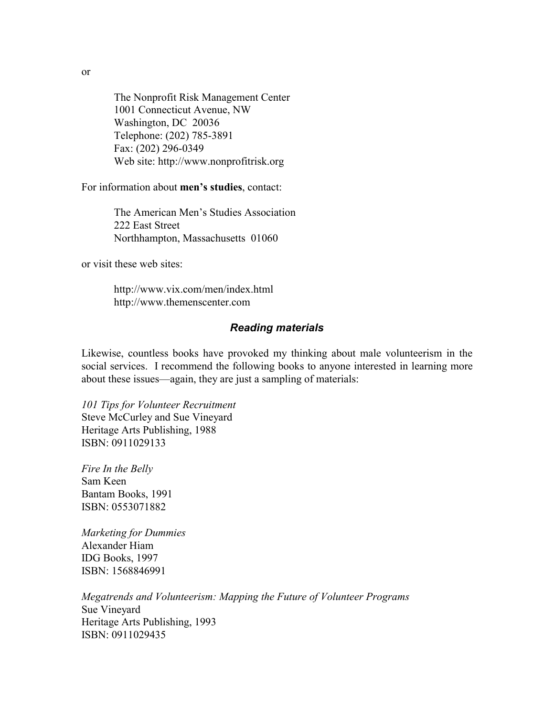The Nonprofit Risk Management Center 1001 Connecticut Avenue, NW Washington, DC 20036 Telephone: (202) 785-3891 Fax: (202) 296-0349 Web site: http://www.nonprofitrisk.org

For information about **men's studies**, contact:

The American Men's Studies Association 222 East Street Northhampton, Massachusetts 01060

or visit these web sites:

http://www.vix.com/men/index.html http://www.themenscenter.com

#### *Reading materials*

Likewise, countless books have provoked my thinking about male volunteerism in the social services. I recommend the following books to anyone interested in learning more about these issues—again, they are just a sampling of materials:

*101 Tips for Volunteer Recruitment* Steve McCurley and Sue Vineyard Heritage Arts Publishing, 1988 ISBN: 0911029133

*Fire In the Belly* Sam Keen Bantam Books, 1991 ISBN: 0553071882

*Marketing for Dummies* Alexander Hiam IDG Books, 1997 ISBN: 1568846991

*Megatrends and Volunteerism: Mapping the Future of Volunteer Programs* Sue Vineyard Heritage Arts Publishing, 1993 ISBN: 0911029435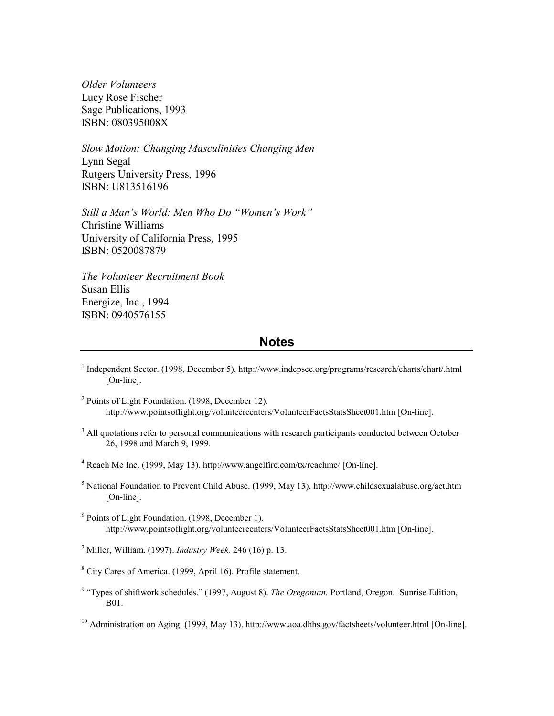*Older Volunteers* Lucy Rose Fischer Sage Publications, 1993 ISBN: 080395008X

*Slow Motion: Changing Masculinities Changing Men* Lynn Segal Rutgers University Press, 1996 ISBN: U813516196

*Still a Man's World: Men Who Do "Women's Work"* Christine Williams University of California Press, 1995 ISBN: 0520087879

*The Volunteer Recruitment Book* Susan Ellis Energize, Inc., 1994 ISBN: 0940576155

#### **Notes**

- <sup>1</sup> Independent Sector. (1998, December 5). http://www.indepsec.org/programs/research/charts/chart/.html [On-line].
- <sup>2</sup> Points of Light Foundation. (1998, December 12). http://www.pointsoflight.org/volunteercenters/VolunteerFactsStatsSheet001.htm [On-line].
- <sup>3</sup> All quotations refer to personal communications with research participants conducted between October 26, 1998 and March 9, 1999.
- <sup>4</sup> Reach Me Inc. (1999, May 13). http://www.angelfire.com/tx/reachme/ [On-line].
- <sup>5</sup> National Foundation to Prevent Child Abuse. (1999, May 13). http://www.childsexualabuse.org/act.htm [On-line].
- 6 Points of Light Foundation. (1998, December 1). http://www.pointsoflight.org/volunteercenters/VolunteerFactsStatsSheet001.htm [On-line].

7 Miller, William. (1997). *Industry Week.* 246 (16) p. 13.

- <sup>8</sup> City Cares of America. (1999, April 16). Profile statement.
- <sup>9</sup> "Types of shiftwork schedules." (1997, August 8). *The Oregonian*. Portland, Oregon. Sunrise Edition, B01.

<sup>10</sup> Administration on Aging. (1999, May 13). http://www.aoa.dhhs.gov/factsheets/volunteer.html [On-line].